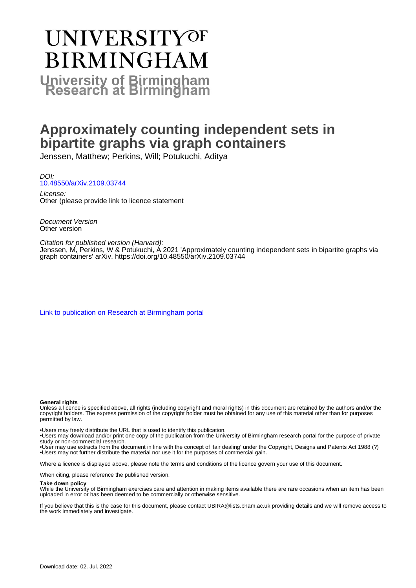# **UNIVERSITYOF BIRMINGHAM University of Birmingham**

# **Approximately counting independent sets in bipartite graphs via graph containers**

Jenssen, Matthew; Perkins, Will; Potukuchi, Aditya

DOI: [10.48550/arXiv.2109.03744](https://doi.org/10.48550/arXiv.2109.03744)

License: Other (please provide link to licence statement

Document Version Other version

Citation for published version (Harvard): Jenssen, M, Perkins, W & Potukuchi, A 2021 'Approximately counting independent sets in bipartite graphs via graph containers' arXiv. <https://doi.org/10.48550/arXiv.2109.03744>

[Link to publication on Research at Birmingham portal](https://birmingham.elsevierpure.com/en/publications/a066e358-e691-4d81-a0d2-570085f08242)

#### **General rights**

Unless a licence is specified above, all rights (including copyright and moral rights) in this document are retained by the authors and/or the copyright holders. The express permission of the copyright holder must be obtained for any use of this material other than for purposes permitted by law.

• Users may freely distribute the URL that is used to identify this publication.

• Users may download and/or print one copy of the publication from the University of Birmingham research portal for the purpose of private study or non-commercial research.

• User may use extracts from the document in line with the concept of 'fair dealing' under the Copyright, Designs and Patents Act 1988 (?) • Users may not further distribute the material nor use it for the purposes of commercial gain.

Where a licence is displayed above, please note the terms and conditions of the licence govern your use of this document.

When citing, please reference the published version.

#### **Take down policy**

While the University of Birmingham exercises care and attention in making items available there are rare occasions when an item has been uploaded in error or has been deemed to be commercially or otherwise sensitive.

If you believe that this is the case for this document, please contact UBIRA@lists.bham.ac.uk providing details and we will remove access to the work immediately and investigate.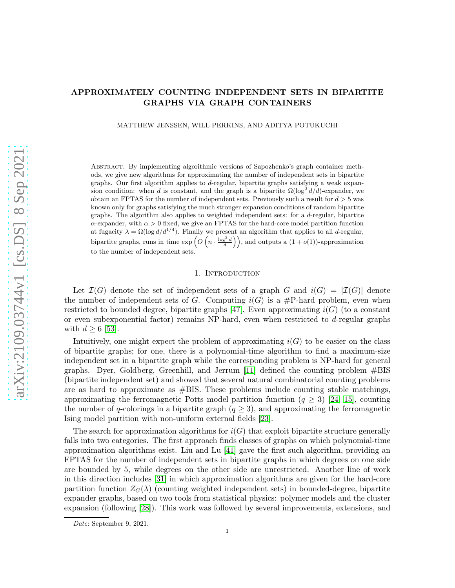# APPROXIMATELY COUNTING INDEPENDENT SETS IN BIPARTITE GRAPHS VIA GRAPH CONTAINERS

MATTHEW JENSSEN, WILL PERKINS, AND ADITYA POTUKUCHI

Abstract. By implementing algorithmic versions of Sapozhenko's graph container methods, we give new algorithms for approximating the number of independent sets in bipartite graphs. Our first algorithm applies to d-regular, bipartite graphs satisfying a weak expansion condition: when d is constant, and the graph is a bipartite  $\Omega(\log^2 d/d)$ -expander, we obtain an FPTAS for the number of independent sets. Previously such a result for  $d > 5$  was known only for graphs satisfying the much stronger expansion conditions of random bipartite graphs. The algorithm also applies to weighted independent sets: for a d-regular, bipartite  $\alpha$ -expander, with  $\alpha > 0$  fixed, we give an FPTAS for the hard-core model partition function at fugacity  $\lambda = \Omega(\log d/d^{1/4})$ . Finally we present an algorithm that applies to all d-regular, bipartite graphs, runs in time  $\exp\left(O\left(n \cdot \frac{\log^3 d}{d}\right)\right)$ , and outputs a  $(1+o(1))$ -approximation to the number of independent sets.

# 1. INTRODUCTION

Let  $\mathcal{I}(G)$  denote the set of independent sets of a graph G and  $i(G) = |\mathcal{I}(G)|$  denote the number of independent sets of G. Computing  $i(G)$  is a #P-hard problem, even when restricted to bounded degree, bipartite graphs [\[47\]](#page-25-0). Even approximating  $i(G)$  (to a constant or even subexponential factor) remains NP-hard, even when restricted to d-regular graphs with  $d \geq 6$  [\[53\]](#page-25-1).

Intuitively, one might expect the problem of approximating  $i(G)$  to be easier on the class of bipartite graphs; for one, there is a polynomial-time algorithm to find a maximum-size independent set in a bipartite graph while the corresponding problem is NP-hard for general graphs. Dyer, Goldberg, Greenhill, and Jerrum [\[11\]](#page-24-0) defined the counting problem #BIS (bipartite independent set) and showed that several natural combinatorial counting problems are as hard to approximate as  $\#BIS$ . These problems include counting stable matchings, approximating the ferromagnetic Potts model partition function  $(q \geq 3)$  [\[24,](#page-24-1) [15\]](#page-24-2), counting the number of q-colorings in a bipartite graph  $(q \geq 3)$ , and approximating the ferromagnetic Ising model partition with non-uniform external fields [\[23\]](#page-24-3).

The search for approximation algorithms for  $i(G)$  that exploit bipartite structure generally falls into two categories. The first approach finds classes of graphs on which polynomial-time approximation algorithms exist. Liu and Lu [\[41\]](#page-25-2) gave the first such algorithm, providing an FPTAS for the number of independent sets in bipartite graphs in which degrees on one side are bounded by 5, while degrees on the other side are unrestricted. Another line of work in this direction includes [\[31\]](#page-25-3) in which approximation algorithms are given for the hard-core partition function  $Z_G(\lambda)$  (counting weighted independent sets) in bounded-degree, bipartite expander graphs, based on two tools from statistical physics: polymer models and the cluster expansion (following [\[28\]](#page-25-4)). This work was followed by several improvements, extensions, and

Date: September 9, 2021.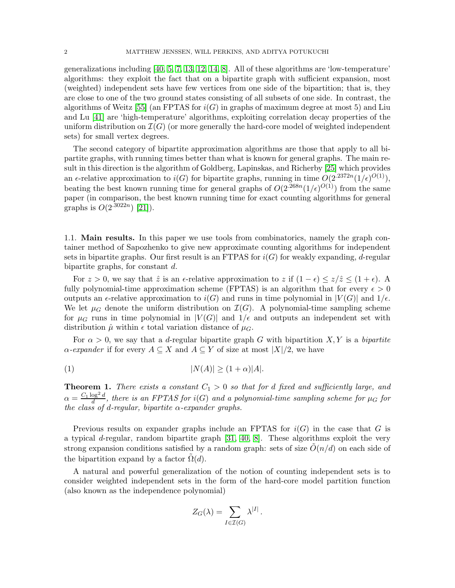generalizations including [\[40,](#page-25-5) [5,](#page-24-4) [7,](#page-24-5) [13,](#page-24-6) [12,](#page-24-7) [14,](#page-24-8) [8\]](#page-24-9). All of these algorithms are 'low-temperature' algorithms: they exploit the fact that on a bipartite graph with sufficient expansion, most (weighted) independent sets have few vertices from one side of the bipartition; that is, they are close to one of the two ground states consisting of all subsets of one side. In contrast, the algorithms of Weitz [\[55\]](#page-25-6) (an FPTAS for  $i(G)$  in graphs of maximum degree at most 5) and Liu and Lu [\[41\]](#page-25-2) are 'high-temperature' algorithms, exploiting correlation decay properties of the uniform distribution on  $\mathcal{I}(G)$  (or more generally the hard-core model of weighted independent sets) for small vertex degrees.

The second category of bipartite approximation algorithms are those that apply to all bipartite graphs, with running times better than what is known for general graphs. The main result in this direction is the algorithm of Goldberg, Lapinskas, and Richerby [\[25\]](#page-24-10) which provides an  $\epsilon$ -relative approximation to  $i(G)$  for bipartite graphs, running in time  $O(2^{.2372n}(1/\epsilon)^{O(1)}),$ beating the best known running time for general graphs of  $O(2^{.268n}(1/\epsilon)^{O(1)})$  from the same paper (in comparison, the best known running time for exact counting algorithms for general graphs is  $O(2^{.3022n})$  [\[21\]](#page-24-11)).

1.1. Main results. In this paper we use tools from combinatorics, namely the graph container method of Sapozhenko to give new approximate counting algorithms for independent sets in bipartite graphs. Our first result is an FTPAS for  $i(G)$  for weakly expanding, d-regular bipartite graphs, for constant d.

For  $z > 0$ , we say that  $\hat{z}$  is an  $\epsilon$ -relative approximation to z if  $(1 - \epsilon) \leq z/\hat{z} \leq (1 + \epsilon)$ . A fully polynomial-time approximation scheme (FPTAS) is an algorithm that for every  $\epsilon > 0$ outputs an  $\epsilon$ -relative approximation to  $i(G)$  and runs in time polynomial in  $|V(G)|$  and  $1/\epsilon$ . We let  $\mu_G$  denote the uniform distribution on  $\mathcal{I}(G)$ . A polynomial-time sampling scheme for  $\mu_G$  runs in time polynomial in  $|V(G)|$  and  $1/\epsilon$  and outputs an independent set with distribution  $\hat{\mu}$  within  $\epsilon$  total variation distance of  $\mu_G$ .

For  $\alpha > 0$ , we say that a d-regular bipartite graph G with bipartition X, Y is a bipartite  $\alpha$ -expander if for every  $A \subseteq X$  and  $A \subseteq Y$  of size at most  $|X|/2$ , we have

<span id="page-2-1"></span>
$$
|N(A)| \ge (1+\alpha)|A|.
$$

<span id="page-2-0"></span>**Theorem 1.** There exists a constant  $C_1 > 0$  so that for d fixed and sufficiently large, and  $\alpha = \frac{C_1 \log^2 d}{d}$  $\frac{\log^2 a}{d}$ , there is an FPTAS for  $i(G)$  and a polynomial-time sampling scheme for  $\mu_G$  for the class of d-regular, bipartite  $\alpha$ -expander graphs.

Previous results on expander graphs include an FPTAS for  $i(G)$  in the case that G is a typical d-regular, random bipartite graph [\[31,](#page-25-3) [40,](#page-25-5) [8\]](#page-24-9). These algorithms exploit the very strong expansion conditions satisfied by a random graph: sets of size  $O(n/d)$  on each side of the bipartition expand by a factor  $\Omega(d)$ .

A natural and powerful generalization of the notion of counting independent sets is to consider weighted independent sets in the form of the hard-core model partition function (also known as the independence polynomial)

$$
Z_G(\lambda) = \sum_{I \in \mathcal{I}(G)} \lambda^{|I|}.
$$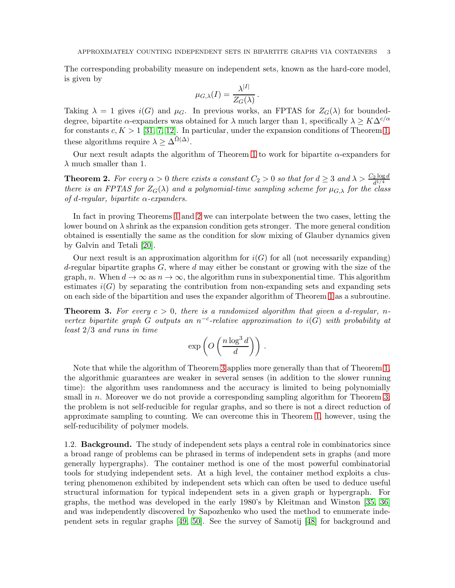The corresponding probability measure on independent sets, known as the hard-core model, is given by

$$
\mu_{G,\lambda}(I) = \frac{\lambda^{|I|}}{Z_G(\lambda)}.
$$

Taking  $\lambda = 1$  gives  $i(G)$  and  $\mu_G$ . In previous works, an FPTAS for  $Z_G(\lambda)$  for boundeddegree, bipartite  $\alpha$ -expanders was obtained for  $\lambda$  much larger than 1, specifically  $\lambda \geq K\Delta^{c/\alpha}$ for constants  $c, K > 1$  [\[31,](#page-25-3) [7,](#page-24-5) [12\]](#page-24-7). In particular, under the expansion conditions of Theorem [1,](#page-2-0) these algorithms require  $\lambda \geq \Delta^{\tilde{\Omega}(\Delta)}$ .

Our next result adapts the algorithm of Theorem [1](#page-2-0) to work for bipartite  $\alpha$ -expanders for  $\lambda$  much smaller than 1.

<span id="page-3-0"></span>**Theorem 2.** For every  $\alpha > 0$  there exists a constant  $C_2 > 0$  so that for  $d \geq 3$  and  $\lambda > \frac{C_2 \log d}{d^{1/4}}$ there is an FPTAS for  $Z_G(\lambda)$  and a polynomial-time sampling scheme for  $\mu_{G,\lambda}$  for the class of d-regular, bipartite  $\alpha$ -expanders.

In fact in proving Theorems [1](#page-2-0) and [2](#page-3-0) we can interpolate between the two cases, letting the lower bound on  $\lambda$  shrink as the expansion condition gets stronger. The more general condition obtained is essentially the same as the condition for slow mixing of Glauber dynamics given by Galvin and Tetali [\[20\]](#page-24-12).

Our next result is an approximation algorithm for  $i(G)$  for all (not necessarily expanding) d-regular bipartite graphs  $G$ , where  $d$  may either be constant or growing with the size of the graph, n. When  $d \to \infty$  as  $n \to \infty$ , the algorithm runs in subexponential time. This algorithm estimates  $i(G)$  by separating the contribution from non-expanding sets and expanding sets on each side of the bipartition and uses the expander algorithm of Theorem [1](#page-2-0) as a subroutine.

<span id="page-3-1"></span>**Theorem 3.** For every  $c > 0$ , there is a randomized algorithm that given a d-regular, nvertex bipartite graph G outputs an  $n^{-c}$ -relative approximation to  $i(G)$  with probability at least 2/3 and runs in time

$$
\exp\left(O\left(\frac{n\log^3 d}{d}\right)\right).
$$

Note that while the algorithm of Theorem [3](#page-3-1) applies more generally than that of Theorem [1,](#page-2-0) the algorithmic guarantees are weaker in several senses (in addition to the slower running time): the algorithm uses randomness and the accuracy is limited to being polynomially small in n. Moreover we do not provide a corresponding sampling algorithm for Theorem [3;](#page-3-1) the problem is not self-reducible for regular graphs, and so there is not a direct reduction of approximate sampling to counting. We can overcome this in Theorem [1,](#page-2-0) however, using the self-reducibility of polymer models.

1.2. Background. The study of independent sets plays a central role in combinatorics since a broad range of problems can be phrased in terms of independent sets in graphs (and more generally hypergraphs). The container method is one of the most powerful combinatorial tools for studying independent sets. At a high level, the container method exploits a clustering phenomenon exhibited by independent sets which can often be used to deduce useful structural information for typical independent sets in a given graph or hypergraph. For graphs, the method was developed in the early 1980's by Kleitman and Winston [\[35,](#page-25-7) [36\]](#page-25-8) and was independently discovered by Sapozhenko who used the method to enumerate independent sets in regular graphs [\[49,](#page-25-9) [50\]](#page-25-10). See the survey of Samotij [\[48\]](#page-25-11) for background and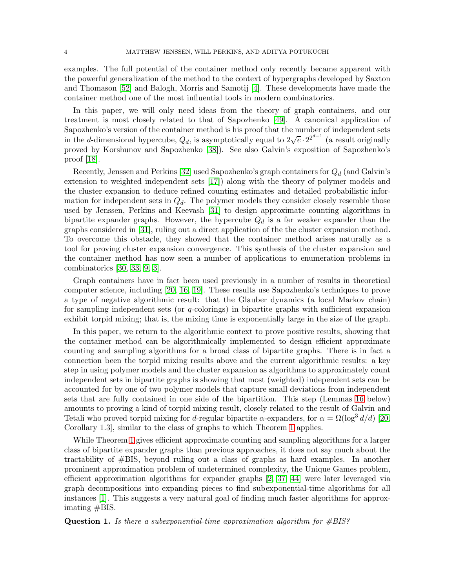examples. The full potential of the container method only recently became apparent with the powerful generalization of the method to the context of hypergraphs developed by Saxton and Thomason [\[52\]](#page-25-12) and Balogh, Morris and Samotij [\[4\]](#page-24-13). These developments have made the container method one of the most influential tools in modern combinatorics.

In this paper, we will only need ideas from the theory of graph containers, and our treatment is most closely related to that of Sapozhenko [\[49\]](#page-25-9). A canonical application of Sapozhenko's version of the container method is his proof that the number of independent sets in the d-dimensional hypercube,  $Q_d$ , is asymptotically equal to  $2\sqrt{e} \cdot 2^{2^{d-1}}$  (a result originally proved by Korshunov and Sapozhenko [\[38\]](#page-25-13)). See also Galvin's exposition of Sapozhenko's proof [\[18\]](#page-24-14).

Recently, Jenssen and Perkins [\[32\]](#page-25-14) used Sapozhenko's graph containers for  $Q_d$  (and Galvin's extension to weighted independent sets [\[17\]](#page-24-15)) along with the theory of polymer models and the cluster expansion to deduce refined counting estimates and detailed probabilistic information for independent sets in  $Q_d$ . The polymer models they consider closely resemble those used by Jenssen, Perkins and Keevash [\[31\]](#page-25-3) to design approximate counting algorithms in bipartite expander graphs. However, the hypercube  $Q_d$  is a far weaker expander than the graphs considered in [\[31\]](#page-25-3), ruling out a direct application of the the cluster expansion method. To overcome this obstacle, they showed that the container method arises naturally as a tool for proving cluster expansion convergence. This synthesis of the cluster expansion and the container method has now seen a number of applications to enumeration problems in combinatorics [\[30,](#page-25-15) [33,](#page-25-16) [9,](#page-24-16) [3\]](#page-24-17).

Graph containers have in fact been used previously in a number of results in theoretical computer science, including [\[20,](#page-24-12) [16,](#page-24-18) [19\]](#page-24-19). These results use Sapozhenko's techniques to prove a type of negative algorithmic result: that the Glauber dynamics (a local Markov chain) for sampling independent sets (or  $q$ -colorings) in bipartite graphs with sufficient expansion exhibit torpid mixing; that is, the mixing time is exponentially large in the size of the graph.

In this paper, we return to the algorithmic context to prove positive results, showing that the container method can be algorithmically implemented to design efficient approximate counting and sampling algorithms for a broad class of bipartite graphs. There is in fact a connection been the torpid mixing results above and the current algorithmic results: a key step in using polymer models and the cluster expansion as algorithms to approximately count independent sets in bipartite graphs is showing that most (weighted) independent sets can be accounted for by one of two polymer models that capture small deviations from independent sets that are fully contained in one side of the bipartition. This step (Lemmas [16](#page-15-0) below) amounts to proving a kind of torpid mixing result, closely related to the result of Galvin and Tetali who proved torpid mixing for d-regular bipartite  $\alpha$ -expanders, for  $\alpha = \Omega(\log^3 d/d)$  [\[20,](#page-24-12) Corollary 1.3], similar to the class of graphs to which Theorem [1](#page-2-0) applies.

While Theorem [1](#page-2-0) gives efficient approximate counting and sampling algorithms for a larger class of bipartite expander graphs than previous approaches, it does not say much about the tractability of #BIS, beyond ruling out a class of graphs as hard examples. In another prominent approximation problem of undetermined complexity, the Unique Games problem, efficient approximation algorithms for expander graphs [\[2,](#page-24-20) [37,](#page-25-17) [44\]](#page-25-18) were later leveraged via graph decompositions into expanding pieces to find subexponential-time algorithms for all instances [\[1\]](#page-24-21). This suggests a very natural goal of finding much faster algorithms for approximating #BIS.

**Question 1.** Is there a subexponential-time approximation algorithm for  $\#BIS$ ?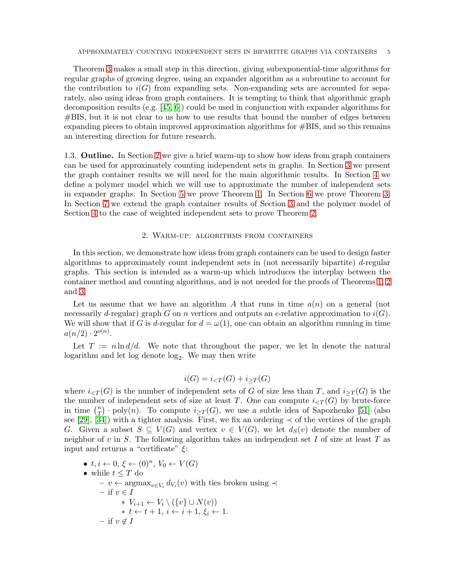Theorem [3](#page-3-1) makes a small step in this direction, giving subexponential-time algorithms for regular graphs of growing degree, using an expander algorithm as a subroutine to account for the contribution to  $i(G)$  from expanding sets. Non-expanding sets are accounted for separately, also using ideas from graph containers. It is tempting to think that algorithmic graph decomposition results (e.g. [\[45,](#page-25-19) [6\]](#page-24-22)) could be used in conjunction with expander algorithms for #BIS, but it is not clear to us how to use results that bound the number of edges between expanding pieces to obtain improved approximation algorithms for #BIS, and so this remains an interesting direction for future research.

1.3. Outline. In Section [2](#page-5-0) we give a brief warm-up to show how ideas from graph containers can be used for approximately counting independent sets in graphs. In Section [3](#page-7-0) we present the graph container results we will need for the main algorithmic results. In Section [4](#page-10-0) we define a polymer model which we will use to approximate the number of independent sets in expander graphs. In Section [5](#page-15-1) we prove Theorem [1.](#page-2-0) In Section [6](#page-16-0) we prove Theorem [3.](#page-3-1) In Section [7](#page-20-0) we extend the graph container results of Section [3](#page-7-0) and the polymer model of Section [4](#page-10-0) to the case of weighted independent sets to prove Theorem [2.](#page-3-0)

#### 2. Warm-up: algorithms from containers

<span id="page-5-0"></span>In this section, we demonstrate how ideas from graph containers can be used to design faster algorithms to approximately count independent sets in (not necessarily bipartite) d-regular graphs. This section is intended as a warm-up which introduces the interplay between the container method and counting algorithms, and is not needed for the proofs of Theorems [1,](#page-2-0) [2](#page-3-0) and [3.](#page-3-1)

Let us assume that we have an algorithm A that runs in time  $a(n)$  on a general (not necessarily d-regular) graph G on n vertices and outputs an  $\epsilon$ -relative approximation to  $i(G)$ . We will show that if G is d-regular for  $d = \omega(1)$ , one can obtain an algorithm running in time  $a(n/2) \cdot 2^{o(n)}$ .

Let  $T := n \ln d/d$ . We note that throughout the paper, we let ln denote the natural  $logarithm$  and let  $log$  denote  $log<sub>2</sub>$ . We may then write

$$
i(G) = i_{\leq T}(G) + i_{\geq T}(G)
$$

where  $i_{\leq T}(G)$  is the number of independent sets of G of size less than T, and  $i_{\geq T}(G)$  is the the number of independent sets of size at least T. One can compute  $i_{\leq T}(G)$  by brute-force in time  $\binom{n}{T}$  $T(T)$  poly(n). To compute  $i_{\geq T}(G)$ , we use a subtle idea of Sapozhenko [\[51\]](#page-25-20) (also see [\[29\]](#page-25-21), [\[34\]](#page-25-22)) with a tighter analysis. First, we fix an ordering  $\prec$  of the vertices of the graph G. Given a subset  $S \subseteq V(G)$  and vertex  $v \in V(G)$ , we let  $d_S(v)$  denote the number of neighbor of v in  $S$ . The following algorithm takes an independent set I of size at least  $T$  as input and returns a "certificate"  $\xi$ :

- $t, i \leftarrow 0, \xi \leftarrow (0)^n, V_0 \leftarrow V(G)$ • while  $t \leq T$  do
	- $v \leftarrow \operatorname{argmax}_{v \in V_i} d_{V_i}(v)$  with ties broken using  $\prec$  $-$  if  $v \in I$ ∗ Vi+1 ← V<sup>i</sup> \ ({v} ∪ N(v)) \*  $t \leftarrow t + 1, i \leftarrow i + 1, \xi_i \leftarrow 1.$ – if  $v \notin I$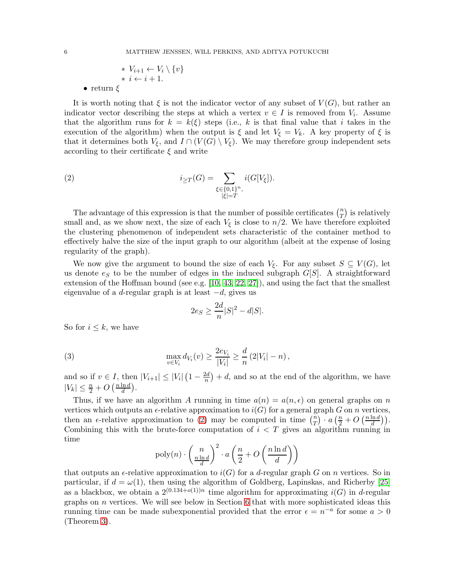$$
\begin{array}{c} * \ V_{i+1} \leftarrow V_i \setminus \{v\} \\ * \ i \leftarrow i+1. \end{array}
$$

• return  $\xi$ 

It is worth noting that  $\xi$  is not the indicator vector of any subset of  $V(G)$ , but rather an indicator vector describing the steps at which a vertex  $v \in I$  is removed from  $V_i$ . Assume that the algorithm runs for  $k = k(\xi)$  steps (i.e., k is that final value that i takes in the execution of the algorithm) when the output is  $\xi$  and let  $V_{\xi} = V_k$ . A key property of  $\xi$  is that it determines both  $V_{\xi}$ , and  $I \cap (V(G) \setminus V_{\xi})$ . We may therefore group independent sets according to their certificate  $\xi$  and write

<span id="page-6-0"></span>(2) 
$$
i_{\geq T}(G) = \sum_{\substack{\xi \in \{0,1\}^n, \\ |\xi| = T}} i(G[V_{\xi}]).
$$

The advantage of this expression is that the number of possible certificates  $\binom{n}{T}$  $\binom{n}{T}$  is relatively small and, as we show next, the size of each  $V_{\xi}$  is close to  $n/2$ . We have therefore exploited the clustering phenomenon of independent sets characteristic of the container method to effectively halve the size of the input graph to our algorithm (albeit at the expense of losing regularity of the graph).

We now give the argument to bound the size of each  $V_{\xi}$ . For any subset  $S \subseteq V(G)$ , let us denote  $e_S$  to be the number of edges in the induced subgraph  $G[S]$ . A straightforward extension of the Hoffman bound (see e.g.  $[10, 43, 22, 27]$  $[10, 43, 22, 27]$  $[10, 43, 22, 27]$  $[10, 43, 22, 27]$ ), and using the fact that the smallest eigenvalue of a d-regular graph is at least  $-d$ , gives us

$$
2e_S \ge \frac{2d}{n}|S|^2 - d|S|.
$$

So for  $i \leq k$ , we have

(3) 
$$
\max_{v \in V_i} d_{V_i}(v) \ge \frac{2e_{V_i}}{|V_i|} \ge \frac{d}{n} (2|V_i| - n),
$$

and so if  $v \in I$ , then  $|V_{i+1}| \leq |V_i| \left(1 - \frac{2d}{n}\right)$  $\frac{2d}{n}$  + d, and so at the end of the algorithm, we have  $|V_k| \leq \frac{n}{2} + O\left(\frac{n \ln d}{d}\right)$  $\frac{\ln d}{d}$ ).

Thus, if we have an algorithm A running in time  $a(n) = a(n, \epsilon)$  on general graphs on n vertices which outputs an  $\epsilon$ -relative approximation to  $i(G)$  for a general graph G on n vertices, then an  $\epsilon$ -relative approximation to [\(2\)](#page-6-0) may be computed in time  $\binom{n}{T}$  $\binom{n}{T} \cdot a \left(\frac{n}{2} + O\left(\frac{n \ln d}{d}\right)\right)$  $\frac{\ln d}{d}\big)\Big).$ Combining this with the brute-force computation of  $i < T$  gives an algorithm running in time

$$
poly(n) \cdot \left(\frac{n}{\frac{n \ln d}{d}}\right)^2 \cdot a\left(\frac{n}{2} + O\left(\frac{n \ln d}{d}\right)\right)
$$

that outputs an  $\epsilon$ -relative approximation to  $i(G)$  for a d-regular graph G on n vertices. So in particular, if  $d = \omega(1)$ , then using the algorithm of Goldberg, Lapinskas, and Richerby [\[25\]](#page-24-10) as a blackbox, we obtain a  $2^{(0.134+o(1))n}$  time algorithm for approximating  $i(G)$  in d-regular graphs on  $n$  vertices. We will see below in Section [6](#page-16-0) that with more sophisticated ideas this running time can be made subexponential provided that the error  $\epsilon = n^{-a}$  for some  $a > 0$ (Theorem [3\)](#page-3-1).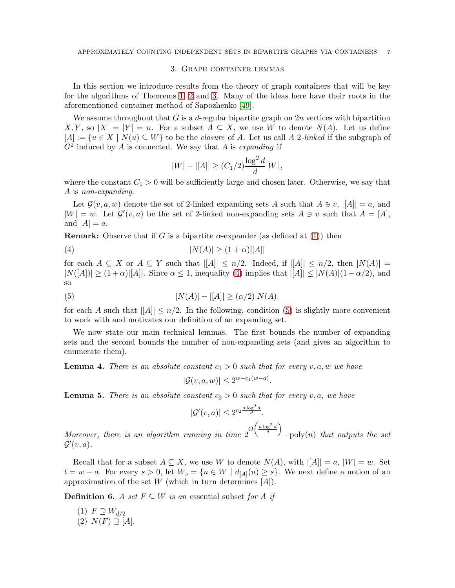#### 3. Graph container lemmas

<span id="page-7-0"></span>In this section we introduce results from the theory of graph containers that will be key for the algorithms of Theorems [1,](#page-2-0) [2](#page-3-0) and [3.](#page-3-1) Many of the ideas here have their roots in the aforementioned container method of Sapozhenko [\[49\]](#page-25-9).

We assume throughout that  $G$  is a d-regular bipartite graph on  $2n$  vertices with bipartition  $X, Y$ , so  $|X| = |Y| = n$ . For a subset  $A \subseteq X$ , we use W to denote  $N(A)$ . Let us define  $[A] := \{u \in X \mid N(u) \subseteq W\}$  to be the *closure* of A. Let us call A 2-linked if the subgraph of  $G<sup>2</sup>$  induced by A is connected. We say that A is expanding if

<span id="page-7-1"></span>
$$
|W| - |[A]| \ge (C_1/2) \frac{\log^2 d}{d} |W|,
$$

where the constant  $C_1 > 0$  will be sufficiently large and chosen later. Otherwise, we say that A is non-expanding.

Let  $\mathcal{G}(v, a, w)$  denote the set of 2-linked expanding sets A such that  $A \ni v, |A|| = a$ , and  $|W| = w$ . Let  $\mathcal{G}'(v, a)$  be the set of 2-linked non-expanding sets  $A \ni v$  such that  $A = [A],$ and  $|A| = a$ .

**Remark:** Observe that if G is a bipartite  $\alpha$ -expander (as defined at [\(1\)](#page-2-1)) then

(4) 
$$
|N(A)| \ge (1 + \alpha)|[A]|
$$

for each  $A \subseteq X$  or  $A \subseteq Y$  such that  $||A|| \leq n/2$ . Indeed, if  $||A|| \leq n/2$ , then  $|N(A)| =$  $|N([A])| \geq (1+\alpha)|[A]|$ . Since  $\alpha \leq 1$ , inequality [\(4\)](#page-7-1) implies that  $||A|| \leq |N(A)|(1-\alpha/2)$ , and so

(5) 
$$
|N(A)| - |[A]| \ge (\alpha/2)|N(A)|
$$

for each A such that  $||A|| \leq n/2$ . In the following, condition [\(5\)](#page-7-2) is slightly more convenient to work with and motivates our definition of an expanding set.

We now state our main technical lemmas. The first bounds the number of expanding sets and the second bounds the number of non-expanding sets (and gives an algorithm to enumerate them).

<span id="page-7-3"></span>**Lemma 4.** There is an absolute constant  $c_1 > 0$  such that for every v, a, w we have

<span id="page-7-2"></span>
$$
|\mathcal{G}(v,a,w)| \le 2^{w-c_1(w-a)}.
$$

<span id="page-7-4"></span>**Lemma 5.** There is an absolute constant  $c_2 > 0$  such that for every v, a, we have

$$
|\mathcal{G}'(v,a)| \le 2^{c_2 \frac{a \log^2 d}{d}}.
$$

Moreover, there is an algorithm running in time  $2^{O\left(\frac{a\log^2 d}{d}\right)}$  $\cdot$  poly $(n)$  that outputs the set  $\mathcal{G}'(v,a)$ .

Recall that for a subset  $A \subseteq X$ , we use W to denote  $N(A)$ , with  $||A|| = a$ ,  $|W| = w$ . Set  $t = w - a$ . For every  $s > 0$ , let  $W_s = \{u \in W \mid d_{[A]}(u) \geq s\}$ . We next define a notion of an approximation of the set  $W$  (which in turn determines  $[A]$ ).

**Definition 6.** A set  $F \subseteq W$  is an essential subset for A if

 $(1)$   $F \supseteq W_{d/2}$  $(2)$   $N(F) \supseteq [A]$ .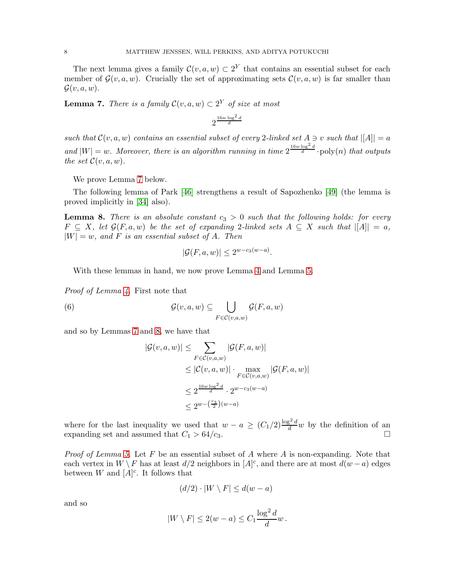The next lemma gives a family  $\mathcal{C}(v, a, w) \subset 2^Y$  that contains an essential subset for each member of  $\mathcal{G}(v, a, w)$ . Crucially the set of approximating sets  $\mathcal{C}(v, a, w)$  is far smaller than  $\mathcal{G}(v, a, w)$ .

<span id="page-8-0"></span>**Lemma 7.** There is a family  $\mathcal{C}(v, a, w) \subset 2^Y$  of size at most

$$
2^{\frac{16w\log^2 d}{d}}
$$

such that  $\mathcal{C}(v, a, w)$  contains an essential subset of every 2-linked set  $A \ni v$  such that  $||A|| = a$ and  $|W| = w$ . Moreover, there is an algorithm running in time  $2^{\frac{16w \log^2 d}{d}}$  poly(n) that outputs the set  $\mathcal{C}(v, a, w)$ .

We prove Lemma [7](#page-8-0) below.

The following lemma of Park [\[46\]](#page-25-25) strengthens a result of Sapozhenko [\[49\]](#page-25-9) (the lemma is proved implicitly in [\[34\]](#page-25-22) also).

<span id="page-8-1"></span>**Lemma 8.** There is an absolute constant  $c_3 > 0$  such that the following holds: for every  $F \subseteq X$ , let  $\mathcal{G}(F, a, w)$  be the set of expanding 2-linked sets  $A \subseteq X$  such that  $||A|| = a$ ,  $|W| = w$ , and F is an essential subset of A. Then

$$
|\mathcal{G}(F,a,w)| \le 2^{w-c_3(w-a)}.
$$

With these lemmas in hand, we now prove Lemma [4](#page-7-3) and Lemma [5.](#page-7-4)

Proof of Lemma [4.](#page-7-3) First note that

(6) 
$$
\mathcal{G}(v,a,w) \subseteq \bigcup_{F \in \mathcal{C}(v,a,w)} \mathcal{G}(F,a,w)
$$

and so by Lemmas [7](#page-8-0) and [8,](#page-8-1) we have that

$$
|\mathcal{G}(v, a, w)| \leq \sum_{F \in \mathcal{C}(v, a, w)} |\mathcal{G}(F, a, w)|
$$
  
\n
$$
\leq |\mathcal{C}(v, a, w)| \cdot \max_{F \in \mathcal{C}(v, a, w)} |\mathcal{G}(F, a, w)|
$$
  
\n
$$
\leq 2^{\frac{16w \log^2 d}{d}} \cdot 2^{w - c_3(w - a)}
$$
  
\n
$$
\leq 2^{w - \left(\frac{c_3}{2}\right)(w - a)}
$$

where for the last inequality we used that  $w - a \geq (C_1/2) \frac{\log^2 d}{d} w$  by the definition of an expanding set and assumed that  $C_1 > 64/c_3$ .

*Proof of Lemma [5.](#page-7-4)* Let F be an essential subset of A where A is non-expanding. Note that each vertex in  $W \backslash F$  has at least  $d/2$  neighbors in  $[A]^{c}$ , and there are at most  $d(w - a)$  edges between W and  $[A]^{c}$ . It follows that

$$
(d/2) \cdot |W \setminus F| \le d(w - a)
$$

and so

$$
|W \setminus F| \le 2(w - a) \le C_1 \frac{\log^2 d}{d} w.
$$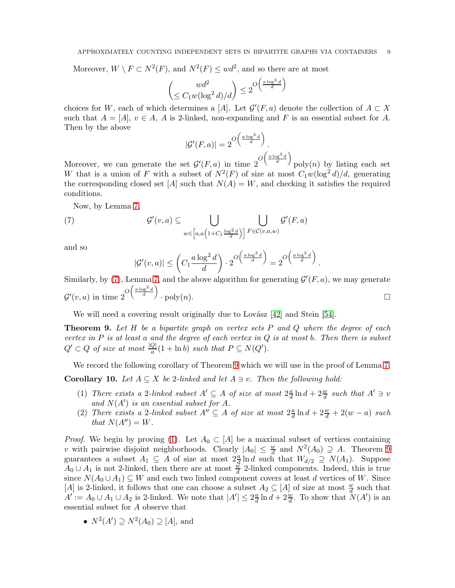Moreover,  $W \setminus F \subset N^2(F)$ , and  $N^2(F) \leq wd^2$ , and so there are at most

$$
\left(\leq C_1 w(\log^2 d)/d\right) \leq 2^{O\left(\frac{a\log^3 d}{d}\right)}
$$

choices for W, each of which determines a [A]. Let  $\mathcal{G}'(F,a)$  denote the collection of  $A \subset X$ such that  $A = [A], v \in A$ , A is 2-linked, non-expanding and F is an essential subset for A. Then by the above

$$
|\mathcal{G}'(F,a)| = 2\frac{O\left(\frac{a\log^3 d}{d}\right)}{O\left(\frac{a\log^3 d}{d}\right)}
$$

λ

Moreover, we can generate the set  $\mathcal{G}'(F,a)$  in time  $2^{O\left(\frac{a\log^3 d}{d}\right)}$  $poly(n)$  by listing each set W that is a union of F with a subset of  $N^2(F)$  of size at most  $C_1w(\log^2 d)/d$ , generating the corresponding closed set [A] such that  $N(A) = W$ , and checking it satisfies the required conditions.

Now, by Lemma [7,](#page-8-0)

<span id="page-9-0"></span>(7) 
$$
\mathcal{G}'(v, a) \subseteq \bigcup_{w \in [a, a(1+C_1 \frac{\log^2 d}{d})]} \bigcup_{F \in \mathcal{C}(v, a, w)} \mathcal{G}'(F, a)
$$

and so

$$
|\mathcal{G}'(v,a)| \le \left(C_1 \frac{a \log^2 d}{d}\right) \cdot 2^{O\left(\frac{a \log^3 d}{d}\right)} = 2^{O\left(\frac{a \log^3 d}{d}\right)}.
$$

Similarly, by [\(7\)](#page-9-0), Lemma [7,](#page-8-0) and the above algorithm for generating  $\mathcal{G}'(F,a)$ , we may generate  $\mathcal{G}'(v,a)$  in time  $2^O\left(\frac{a\log^3 d}{d}\right)$  $\cdot$  poly $(n)$ .

We will need a covering result originally due to Lovász  $[42]$  and Stein  $[54]$ .

<span id="page-9-1"></span>**Theorem 9.** Let  $H$  be a bipartite graph on vertex sets  $P$  and  $Q$  where the degree of each vertex in  $P$  is at least a and the degree of each vertex in  $Q$  is at most b. Then there is subset  $Q' \subset Q$  of size at most  $\frac{|Q|}{a}(1 + \ln b)$  such that  $P \subseteq N(Q')$ .

We record the following corollary of Theorem [9](#page-9-1) which we will use in the proof of Lemma [7.](#page-8-0)

<span id="page-9-4"></span><span id="page-9-2"></span>**Corollary 10.** Let  $A \subseteq X$  be 2-linked and let  $A \ni v$ . Then the following hold:

- (1) There exists a 2-linked subset  $A' \subseteq A$  of size at most  $2\frac{a}{d}$  $\frac{a}{d} \ln d + 2\frac{w}{d}$  such that  $A' \ni v$ and  $N(A')$  is an essential subset for A.
- <span id="page-9-3"></span>(2) There exists a 2-linked subset  $A'' \subseteq A$  of size at most  $2\frac{a}{d}$  $\frac{a}{d} \ln d + 2\frac{w}{d} + 2(w - a)$  such that  $N(A'') = W$ .

*Proof.* We begin by proving [\(1\)](#page-9-2). Let  $A_0 \,\subset [A]$  be a maximal subset of vertices containing v with pairwise disjoint neighborhoods. Clearly  $|A_0| \leq \frac{w}{d}$  and  $N^2(A_0) \supseteq A$ . Theorem [9](#page-9-1) guarantees a subset  $A_1 \subseteq A$  of size at most  $2\frac{a}{d} \ln d$  such that  $W_{d/2} \supseteq N(A_1)$ . Suppose  $A_0 \cup A_1$  is not 2-linked, then there are at most  $\frac{w}{d}$  2-linked components. Indeed, this is true since  $N(A_0 \cup A_1) \subseteq W$  and each two linked component covers at least d vertices of W. Since [A] is 2-linked, it follows that one can choose a subset  $A_2 \subseteq [A]$  of size at most  $\frac{w}{d}$  such that  $A' := A_0 \cup A_1 \cup A_2$  is 2-linked. We note that  $|A'| \leq 2\frac{a}{d}$  $\frac{a}{d} \ln d + 2\frac{w}{d}$ . To show that  $N(A')$  is an essential subset for A observe that

• 
$$
N^2(A') \supseteq N^2(A_0) \supseteqeq [A]
$$
, and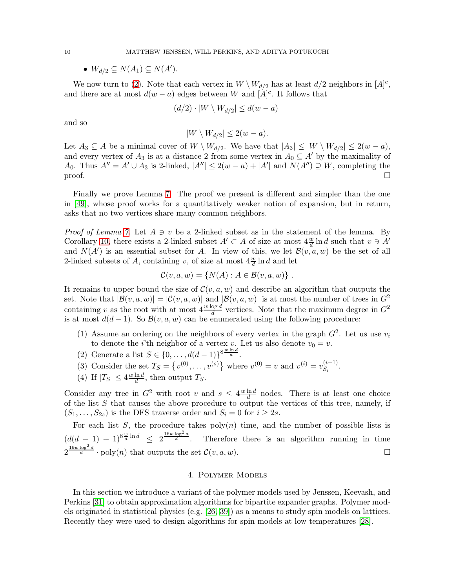•  $W_{d/2} \subseteq N(A_1) \subseteq N(A')$ .

We now turn to [\(2\)](#page-9-3). Note that each vertex in  $W \setminus W_{d/2}$  has at least  $d/2$  neighbors in  $[A]^{c}$ , and there are at most  $d(w - a)$  edges between W and  $[A]$ <sup>c</sup>. It follows that

$$
(d/2) \cdot |W \setminus W_{d/2}| \leq d(w - a)
$$

and so

$$
|W \setminus W_{d/2}| \le 2(w - a).
$$

Let  $A_3 \subseteq A$  be a minimal cover of  $W \setminus W_{d/2}$ . We have that  $|A_3| \leq |W \setminus W_{d/2}| \leq 2(w - a)$ , and every vertex of  $A_3$  is at a distance 2 from some vertex in  $A_0 \subseteq A'$  by the maximality of A<sub>0</sub>. Thus  $A'' = A' \cup A_3$  is 2-linked,  $|A''| \leq 2(w - a) + |A'|$  and  $N(A'') \supseteq W$ , completing the  $\Box$ 

Finally we prove Lemma [7.](#page-8-0) The proof we present is different and simpler than the one in [\[49\]](#page-25-9), whose proof works for a quantitatively weaker notion of expansion, but in return, asks that no two vertices share many common neighbors.

*Proof of Lemma [7.](#page-8-0)* Let  $A \ni v$  be a 2-linked subset as in the statement of the lemma. By Corollary [10,](#page-9-4) there exists a 2-linked subset  $A' \subset A$  of size at most  $4\frac{w}{d} \ln d$  such that  $v \ni A'$ and  $N(A')$  is an essential subset for A. In view of this, we let  $\mathcal{B}(v, a, w)$  be the set of all 2-linked subsets of A, containing v, of size at most  $4\frac{w}{d} \ln d$  and let

$$
\mathcal{C}(v,a,w) = \{ N(A) : A \in \mathcal{B}(v,a,w) \} .
$$

It remains to upper bound the size of  $\mathcal{C}(v, a, w)$  and describe an algorithm that outputs the set. Note that  $|\mathcal{B}(v, a, w)| = |\mathcal{C}(v, a, w)|$  and  $|\mathcal{B}(v, a, w)|$  is at most the number of trees in  $G^2$ containing v as the root with at most  $4 \frac{w \log d}{d}$  vertices. Note that the maximum degree in  $G^2$ is at most  $d(d-1)$ . So  $\mathcal{B}(v, a, w)$  can be enumerated using the following procedure:

- (1) Assume an ordering on the neighbors of every vertex in the graph  $G^2$ . Let us use  $v_i$ to denote the *i*'th neighbor of a vertex v. Let us also denote  $v_0 = v$ .
- (2) Generate a list  $S \in \{0, ..., d(d-1)\}^{8 \frac{w \ln d}{d}}$ .
- (3) Consider the set  $T_S = \{v^{(0)}, \ldots, v^{(s)}\}$  where  $v^{(0)} = v$  and  $v^{(i)} = v_{S_i}^{(i-1)}$ .
- (4) If  $|T_S| \leq 4 \frac{w \ln d}{d}$  $\frac{\ln d}{d}$ , then output  $T_S$ .

Consider any tree in  $G^2$  with root v and  $s \leq 4 \frac{w \ln d}{d}$  $\frac{\ln d}{d}$  nodes. There is at least one choice of the list  $S$  that causes the above procedure to output the vertices of this tree, namely, if  $(S_1, \ldots, S_{2s})$  is the DFS traverse order and  $S_i = 0$  for  $i \geq 2s$ .

For each list S, the procedure takes  $poly(n)$  time, and the number of possible lists is  $\left(d(d-1)+1\right)^{8\frac{w}{d}\ln d} \leq 2^{\frac{16w\log^2 d}{d}}$ Therefore there is an algorithm running in time  $2^{\frac{16w \log^2 d}{d}} \cdot \text{poly}(n)$  that outputs the set  $\mathcal{C}(v, a, w)$ .

### 4. Polymer Models

<span id="page-10-0"></span>In this section we introduce a variant of the polymer models used by Jenssen, Keevash, and Perkins [\[31\]](#page-25-3) to obtain approximation algorithms for bipartite expander graphs. Polymer models originated in statistical physics (e.g. [\[26,](#page-24-25) [39\]](#page-25-28)) as a means to study spin models on lattices. Recently they were used to design algorithms for spin models at low temperatures [\[28\]](#page-25-4).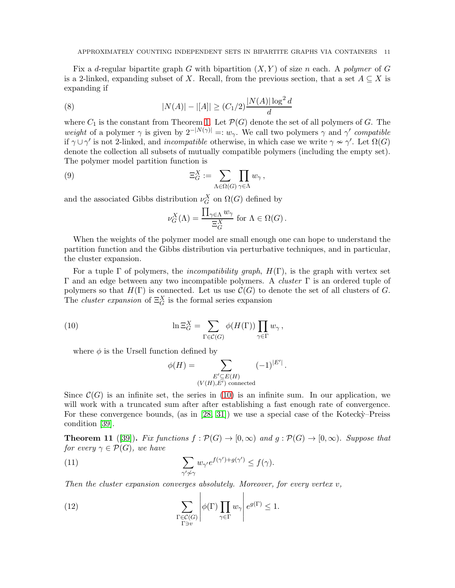Fix a d-regular bipartite graph G with bipartition  $(X, Y)$  of size n each. A polymer of G is a 2-linked, expanding subset of X. Recall, from the previous section, that a set  $A \subseteq X$  is expanding if

(8) 
$$
|N(A)| - |[A]| \ge (C_1/2) \frac{|N(A)| \log^2 d}{d}
$$

where  $C_1$  is the constant from Theorem [1.](#page-2-0) Let  $\mathcal{P}(G)$  denote the set of all polymers of G. The weight of a polymer  $\gamma$  is given by  $2^{-|N(\gamma)|} =: w_{\gamma}$ . We call two polymers  $\gamma$  and  $\gamma'$  compatible if  $\gamma \cup \gamma'$  is not 2-linked, and *incompatible* otherwise, in which case we write  $\gamma \nsim \gamma'$ . Let  $\Omega(G)$ denote the collection all subsets of mutually compatible polymers (including the empty set). The polymer model partition function is

(9) 
$$
\Xi_G^X := \sum_{\Lambda \in \Omega(G)} \prod_{\gamma \in \Lambda} w_{\gamma},
$$

and the associated Gibbs distribution  $\nu_G^X$  on  $\Omega(G)$  defined by

<span id="page-11-3"></span>
$$
\nu_G^X(\Lambda) = \frac{\prod_{\gamma \in \Lambda} w_{\gamma}}{\Xi_G^X} \text{ for } \Lambda \in \Omega(G).
$$

When the weights of the polymer model are small enough one can hope to understand the partition function and the Gibbs distribution via perturbative techniques, and in particular, the cluster expansion.

For a tuple  $\Gamma$  of polymers, the *incompatibility graph*,  $H(\Gamma)$ , is the graph with vertex set Γ and an edge between any two incompatible polymers. A *cluster* Γ is an ordered tuple of polymers so that  $H(\Gamma)$  is connected. Let us use  $\mathcal{C}(G)$  to denote the set of all clusters of G. The *cluster expansion* of  $\Xi_G^X$  is the formal series expansion

(10) 
$$
\ln \Xi_G^X = \sum_{\Gamma \in \mathcal{C}(G)} \phi(H(\Gamma)) \prod_{\gamma \in \Gamma} w_{\gamma},
$$

where  $\phi$  is the Ursell function defined by

<span id="page-11-1"></span><span id="page-11-0"></span>
$$
\phi(H) = \sum_{\substack{E' \subseteq E(H) \\ (V(H), E') \text{ connected}}} (-1)^{|E'|}.
$$

Since  $\mathcal{C}(G)$  is an infinite set, the series in [\(10\)](#page-11-0) is an infinite sum. In our application, we will work with a truncated sum after after establishing a fast enough rate of convergence. For these convergence bounds, (as in  $[28, 31]$  $[28, 31]$ ) we use a special case of the Kotecky–Preiss condition [\[39\]](#page-25-28).

<span id="page-11-2"></span>**Theorem 11** ([\[39\]](#page-25-28)). Fix functions  $f : \mathcal{P}(G) \to [0,\infty)$  and  $g : \mathcal{P}(G) \to [0,\infty)$ . Suppose that for every  $\gamma \in \mathcal{P}(G)$ , we have

(11) 
$$
\sum_{\gamma'\neq\gamma} w_{\gamma'} e^{f(\gamma')+g(\gamma')} \leq f(\gamma).
$$

Then the cluster expansion converges absolutely. Moreover, for every vertex  $v$ ,

(12) 
$$
\sum_{\substack{\Gamma \in \mathcal{C}(G) \\ \Gamma \ni v}} \left| \phi(\Gamma) \prod_{\gamma \in \Gamma} w_{\gamma} \right| e^{g(\Gamma)} \leq 1.
$$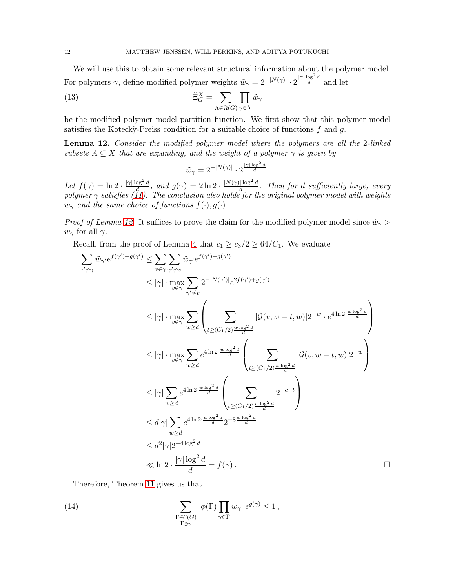We will use this to obtain some relevant structural information about the polymer model. For polymers  $\gamma$ , define modified polymer weights  $\tilde{w}_\gamma = 2^{-|N(\gamma)|} \cdot 2^{\frac{|\gamma| \log^2 d}{d}}$  and let

<span id="page-12-2"></span>(13) 
$$
\tilde{\Xi}_G^X = \sum_{\Lambda \in \Omega(G)} \prod_{\gamma \in \Lambda} \tilde{w}_{\gamma}
$$

be the modified polymer model partition function. We first show that this polymer model satisfies the Kotecky-Preiss condition for a suitable choice of functions  $f$  and  $g$ .

<span id="page-12-0"></span>**Lemma 12.** Consider the modified polymer model where the polymers are all the 2-linked subsets  $A \subseteq X$  that are expanding, and the weight of a polymer  $\gamma$  is given by

$$
\tilde{w}_{\gamma} = 2^{-|N(\gamma)|} \cdot 2^{\frac{|\gamma| \log^2 d}{d}}.
$$

Let  $f(\gamma) = \ln 2 \cdot \frac{|\gamma| \log^2 d}{d}$ , and  $g(\gamma) = 2 \ln 2 \cdot \frac{|N(\gamma)| \log^2 d}{d}$ . Then for d sufficiently large, every polymer  $\gamma$  satisfies [\(11\)](#page-11-1). The conclusion also holds for the original polymer model with weights  $w_{\gamma}$  and the same choice of functions  $f(\cdot), g(\cdot)$ .

*Proof of Lemma [12.](#page-12-0)* It suffices to prove the claim for the modified polymer model since  $\tilde{w}_{\gamma}$  $w_{\gamma}$  for all  $\gamma$ .

Recall, from the proof of Lemma [4](#page-7-3) that  $c_1 \geq c_3/2 \geq 64/C_1$ . We evaluate

$$
\sum_{\gamma'\neq\gamma} \tilde{w}_{\gamma'} e^{f(\gamma')+g(\gamma')} \leq \sum_{v \in \gamma} \sum_{\gamma'\neq v} \tilde{w}_{\gamma'} e^{f(\gamma')+g(\gamma')}
$$
\n
$$
\leq |\gamma| \cdot \max_{v \in \gamma} \sum_{\gamma'\neq v} 2^{-|N(\gamma')|} e^{2f(\gamma')+g(\gamma')}
$$
\n
$$
\leq |\gamma| \cdot \max_{v \in \gamma} \sum_{w \geq d} \left( \sum_{t \geq (C_1/2) \frac{w \log^2 d}{d}} |\mathcal{G}(v, w - t, w)| 2^{-w} \cdot e^{4 \ln 2 \cdot \frac{w \log^2 d}{d}} \right)
$$
\n
$$
\leq |\gamma| \cdot \max_{v \in \gamma} \sum_{w \geq d} e^{4 \ln 2 \cdot \frac{w \log^2 d}{d}} \left( \sum_{t \geq (C_1/2) \frac{w \log^2 d}{d}} |\mathcal{G}(v, w - t, w)| 2^{-w} \right)
$$
\n
$$
\leq |\gamma| \sum_{w \geq d} e^{4 \ln 2 \cdot \frac{w \log^2 d}{d}} \left( \sum_{t \geq (C_1/2) \frac{w \log^2 d}{d}} 2^{-c_1 \cdot t} \right)
$$
\n
$$
\leq d |\gamma| \sum_{w \geq d} e^{4 \ln 2 \cdot \frac{w \log^2 d}{d}} 2^{-8 \frac{w \log^2 d}{d}}
$$
\n
$$
\leq d^2 |\gamma| 2^{-4 \log^2 d}
$$
\n
$$
\leq \ln 2 \cdot \frac{|\gamma| \log^2 d}{d} = f(\gamma).
$$

Therefore, Theorem [11](#page-11-2) gives us that

<span id="page-12-1"></span>(14) 
$$
\sum_{\substack{\Gamma \in \mathcal{C}(G) \\ \Gamma \ni v}} \left| \phi(\Gamma) \prod_{\gamma \in \Gamma} w_{\gamma} \right| e^{g(\gamma)} \leq 1,
$$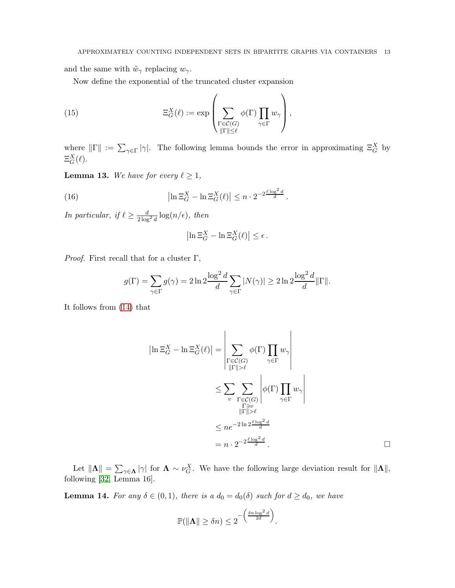and the same with  $\tilde{w}_{\gamma}$  replacing  $w_{\gamma}$ .

<span id="page-13-1"></span>Now define the exponential of the truncated cluster expansion

(15) 
$$
\Xi_G^X(\ell) := \exp\left(\sum_{\substack{\Gamma \in \mathcal{C}(G) \\ \|\Gamma\| \leq \ell}} \phi(\Gamma) \prod_{\gamma \in \Gamma} w_{\gamma}\right),
$$

where  $||\Gamma|| := \sum_{\gamma \in \Gamma} |\gamma|$ . The following lemma bounds the error in approximating  $\Xi_G^X$  by  $\Xi_G^X(\ell).$ 

<span id="page-13-0"></span>**Lemma 13.** We have for every  $\ell \geq 1$ ,

(16) 
$$
\left|\ln \Xi_G^X - \ln \Xi_G^X(\ell)\right| \leq n \cdot 2^{-2\frac{\ell \log^2 d}{d}}.
$$

*In particular, if*  $\ell \ge \frac{d}{2 \log^2 d} \log(n/\epsilon)$ *, then* 

$$
\left|\ln \Xi_G^X - \ln \Xi_G^X(\ell)\right| \leq \epsilon.
$$

*Proof.* First recall that for a cluster  $\Gamma$ ,

$$
g(\Gamma) = \sum_{\gamma \in \Gamma} g(\gamma) = 2 \ln 2 \frac{\log^2 d}{d} \sum_{\gamma \in \Gamma} |N(\gamma)| \ge 2 \ln 2 \frac{\log^2 d}{d} \|\Gamma\|.
$$

It follows from [\(14\)](#page-12-1) that

$$
\left|\ln \Xi_G^X - \ln \Xi_G^X(\ell)\right| = \left|\sum_{\substack{\Gamma \in \mathcal{C}(G) \\ \|\Gamma\| > \ell}} \phi(\Gamma) \prod_{\gamma \in \Gamma} w_{\gamma}\right|
$$
  

$$
\leq \sum_{v} \sum_{\substack{\Gamma \in \mathcal{C}(G) \\ \|\Gamma\| > \ell}} \left|\phi(\Gamma) \prod_{\gamma \in \Gamma} w_{\gamma}\right|
$$
  

$$
\leq n e^{-2 \ln 2 \frac{\ell \log^2 d}{d}}
$$
  

$$
= n \cdot 2^{-2 \frac{\ell \log^2 d}{d}}.
$$

Let  $||\mathbf{\Lambda}|| = \sum_{\gamma \in \mathbf{\Lambda}} |\gamma|$  for  $\mathbf{\Lambda} \sim \nu_G^X$ . We have the following large deviation result for  $||\mathbf{\Lambda}||$ , following [\[32,](#page-25-14) Lemma 16].

<span id="page-13-2"></span>**Lemma 14.** For any  $\delta \in (0,1)$ , there is a  $d_0 = d_0(\delta)$  such for  $d \geq d_0$ , we have

$$
\mathbb{P}(\|\mathbf{\Lambda}\| \ge \delta n) \le 2^{-\left(\frac{\delta n \log^2 d}{2d}\right)}.
$$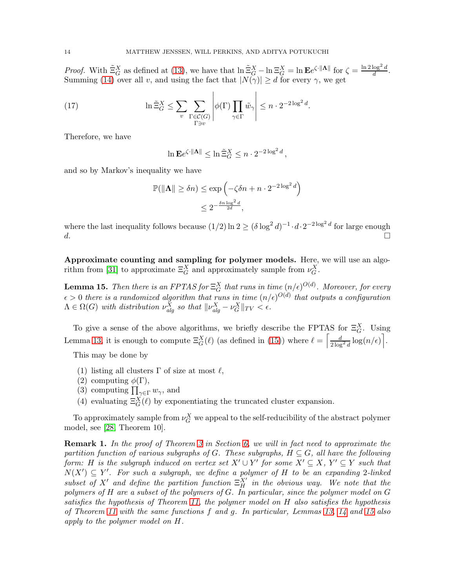*Proof.* With  $\tilde{\Xi}_G^X$  as defined at [\(13\)](#page-12-2), we have that  $\ln \tilde{\Xi}_G^X - \ln \Xi_G^X = \ln \mathbf{E} e^{\zeta \cdot \|\mathbf{\Lambda}\|}$  for  $\zeta = \frac{\ln 2 \log^2 d}{d}$  $\frac{\log^-a}{d}$ . Summing [\(14\)](#page-12-1) over all v, and using the fact that  $|N(\gamma)| \ge d$  for every  $\gamma$ , we get

(17) 
$$
\ln \tilde{\Xi}_G^X \leq \sum_{v} \sum_{\substack{\Gamma \in \mathcal{C}(G) \\ \Gamma \ni v}} \left| \phi(\Gamma) \prod_{\gamma \in \Gamma} \tilde{w}_{\gamma} \right| \leq n \cdot 2^{-2 \log^2 d}.
$$

Therefore, we have

<span id="page-14-3"></span>
$$
\ln \mathbf{E} e^{\zeta \cdot \|\mathbf{\Lambda}\|} \le \ln \tilde{\Xi}_G^X \le n \cdot 2^{-2\log^2 d},
$$

and so by Markov's inequality we have

$$
\mathbb{P}(\|\mathbf{\Lambda}\| \ge \delta n) \le \exp\left(-\zeta \delta n + n \cdot 2^{-2\log^2 d}\right)
$$
  

$$
\le 2^{-\frac{\delta n \log^2 d}{2d}},
$$

where the last inequality follows because  $(1/2) \ln 2 \ge (\delta \log^2 d)^{-1} \cdot d \cdot 2^{-2 \log^2 d}$  for large enough d.

<span id="page-14-1"></span>Approximate counting and sampling for polymer models. Here, we will use an algo-rithm from [\[31\]](#page-25-3) to approximate  $\Xi_G^X$  and approximately sample from  $\nu_G^X$ .

<span id="page-14-0"></span>**Lemma 15.** Then there is an FPTAS for  $\Xi_G^X$  that runs in time  $(n/\epsilon)^{O(d)}$ . Moreover, for every  $\epsilon > 0$  there is a randomized algorithm that runs in time  $(n/\epsilon)^{O(d)}$  that outputs a configuration  $\Lambda \in \Omega(G)$  with distribution  $\nu_{alg}^X$  so that  $||\nu_{alg}^X - \nu_G^X||_{TV} < \epsilon$ .

To give a sense of the above algorithms, we briefly describe the FPTAS for  $\Xi_G^X$ . Using Lemma [13,](#page-13-0) it is enough to compute  $\Xi_G^X(\ell)$  (as defined in [\(15\)](#page-13-1)) where  $\ell = \left[\frac{d}{2\log^2 d} \log(n/\epsilon)\right]$ .

This may be done by

- (1) listing all clusters  $\Gamma$  of size at most  $\ell$ ,
- (2) computing  $\phi(\Gamma)$ ,
- (3) computing  $\prod_{\gamma \in \Gamma} w_{\gamma}$ , and
- (4) evaluating  $\Xi_G^X(\ell)$  by exponentiating the truncated cluster expansion.

To approximately sample from  $\nu_G^X$  we appeal to the self-reducibility of the abstract polymer model, see [\[28,](#page-25-4) Theorem 10].

<span id="page-14-2"></span>Remark 1. In the proof of Theorem [3](#page-3-1) in Section [6,](#page-16-0) we will in fact need to approximate the partition function of various subgraphs of G. These subgraphs,  $H \subseteq G$ , all have the following form: H is the subgraph induced on vertex set  $X' \cup Y'$  for some  $X' \subseteq X$ ,  $Y' \subseteq Y$  such that  $N(X') \subseteq Y'$ . For such a subgraph, we define a polymer of H to be an expanding 2-linked subset of X' and define the partition function  $\Xi_H^{X'}$  in the obvious way. We note that the polymers of H are a subset of the polymers of G. In particular, since the polymer model on G satisfies the hypothesis of Theorem [11,](#page-11-2) the polymer model on H also satisfies the hypothesis of Theorem [11](#page-11-2) with the same functions f and g. In particular, Lemmas [13,](#page-13-0) [14](#page-13-2) and [15](#page-14-0) also apply to the polymer model on H.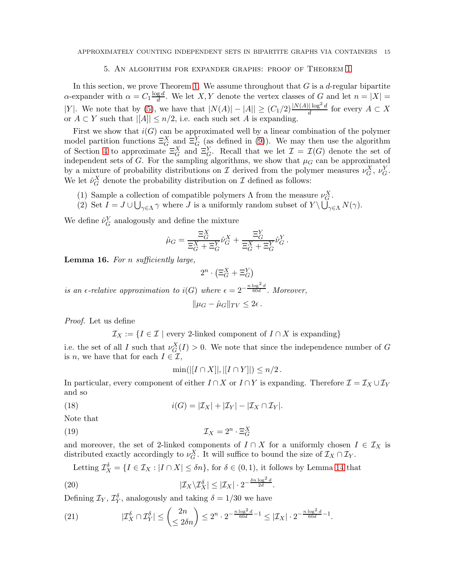# 5. An algorithm for expander graphs: proof of Theorem [1](#page-2-0)

<span id="page-15-1"></span>In this section, we prove Theorem [1.](#page-2-0) We assume throughout that  $G$  is a d-regular bipartite  $\alpha$ -expander with  $\alpha = C_1 \frac{\log d}{d}$  $\frac{g}{d}$ . We let X, Y denote the vertex classes of G and let  $n = |X| =$ |Y|. We note that by [\(5\)](#page-7-2), we have that  $|N(A)| - |A|| \ge (C_1/2) \frac{|N(A)| \log^2 d}{d}$  for every  $A \subset X$ or  $A \subset Y$  such that  $||A|| \leq n/2$ , i.e. each such set A is expanding.

First we show that  $i(G)$  can be approximated well by a linear combination of the polymer model partition functions  $\Xi_G^X$  and  $\Xi_G^Y$  (as defined in [\(9\)](#page-11-3)). We may then use the algorithm of Section [4](#page-14-1) to approximate  $\Xi_G^X$  and  $\Xi_G^Y$ . Recall that we let  $\mathcal{I} = \mathcal{I}(G)$  denote the set of independent sets of G. For the sampling algorithms, we show that  $\mu$ <sup>G</sup> can be approximated by a mixture of probability distributions on I derived from the polymer measures  $\nu_G^X$ ,  $\nu_G^Y$ . We let  $\hat{\nu}_G^X$  denote the probability distribution on  $\mathcal I$  defined as follows:

- (1) Sample a collection of compatible polymers  $\Lambda$  from the measure  $\nu_G^X$ .
- (2) Set  $I = J \cup \bigcup_{\gamma \in \Lambda} \gamma$  where J is a uniformly random subset of  $Y \setminus \bigcup_{\gamma \in \Lambda} N(\gamma)$ .

We define  $\hat{\nu}_G^Y$  analogously and define the mixture

$$
\hat{\mu}_G = \frac{\Xi_G^X}{\Xi_G^X + \Xi_G^Y} \hat{\nu}_G^X + \frac{\Xi_G^Y}{\Xi_G^X + \Xi_G^Y} \hat{\nu}_G^Y.
$$

<span id="page-15-0"></span>Lemma 16. For *n* sufficiently large,

$$
2^n \cdot \left(\Xi^X_G + \Xi^Y_G\right)
$$

is an  $\epsilon$ -relative approximation to i(G) where  $\epsilon = 2^{-\frac{n \log^2 d}{60d}}$ . Moreover,  $\|u_G - \hat{u}_G\|_{TV} \leq 2\epsilon$ .

Proof. Let us define

 $\mathcal{I}_X := \{I \in \mathcal{I} \mid \text{every } 2\text{-linked component of } I \cap X \text{ is expanding}\}\$ 

i.e. the set of all I such that  $\nu_G^X(I) > 0$ . We note that since the independence number of G is *n*, we have that for each  $I \in \mathcal{I}$ ,

<span id="page-15-2"></span>
$$
\min(||[I \cap X]|, |[I \cap Y]|) \leq n/2.
$$

In particular, every component of either  $I \cap X$  or  $I \cap Y$  is expanding. Therefore  $\mathcal{I} = \mathcal{I}_X \cup \mathcal{I}_Y$ and so

<span id="page-15-5"></span>(18) 
$$
i(G) = |\mathcal{I}_X| + |\mathcal{I}_Y| - |\mathcal{I}_X \cap \mathcal{I}_Y|.
$$

Note that

$$
\mathcal{I}_X = 2^n \cdot \Xi_G^X
$$

and moreover, the set of 2-linked components of  $I \cap X$  for a uniformly chosen  $I \in \mathcal{I}_X$  is distributed exactly accordingly to  $\nu_G^X$ . It will suffice to bound the size of  $\mathcal{I}_X \cap \mathcal{I}_Y$ .

<span id="page-15-3"></span>Letting  $\mathcal{I}_X^{\delta} = \{I \in \mathcal{I}_X : |I \cap X| \leq \delta n\}$ , for  $\delta \in (0,1)$ , it follows by Lemma [14](#page-13-2) that

(20) 
$$
|\mathcal{I}_X \backslash \mathcal{I}_X^{\delta}| \leq |\mathcal{I}_X| \cdot 2^{-\frac{\delta n \log^2 d}{2d}}.
$$

Defining  $\mathcal{I}_Y$ ,  $\mathcal{I}_Y^{\delta}$ , analogously and taking  $\delta = 1/30$  we have

<span id="page-15-4"></span>(21) 
$$
|\mathcal{I}_X^{\delta} \cap \mathcal{I}_Y^{\delta}| \leq {2n \choose \leq 2\delta n} \leq 2^n \cdot 2^{-\frac{n \log^2 d}{60d} - 1} \leq |\mathcal{I}_X| \cdot 2^{-\frac{n \log^2 d}{60d} - 1}.
$$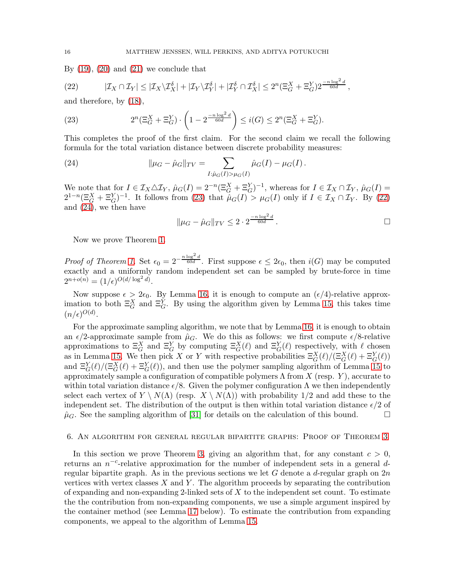By  $(19)$ ,  $(20)$  and  $(21)$  we conclude that

<span id="page-16-2"></span>(22) 
$$
|\mathcal{I}_X \cap \mathcal{I}_Y| \leq |\mathcal{I}_X \setminus \mathcal{I}_X^{\delta}| + |\mathcal{I}_Y \setminus \mathcal{I}_Y^{\delta}| + |\mathcal{I}_Y^{\delta} \cap \mathcal{I}_X^{\delta}| \leq 2^n (\Xi_G^X + \Xi_G^Y) 2^{\frac{-n \log^2 d}{60d}},
$$

and therefore, by [\(18\)](#page-15-5),

<span id="page-16-1"></span>(23) 
$$
2^{n}(\Xi_{G}^{X} + \Xi_{G}^{Y}) \cdot \left(1 - 2^{\frac{-n \log^{2} d}{60d}}\right) \leq i(G) \leq 2^{n}(\Xi_{G}^{X} + \Xi_{G}^{Y}).
$$

This completes the proof of the first claim. For the second claim we recall the following formula for the total variation distance between discrete probability measures:

<span id="page-16-3"></span>(24) 
$$
\|\mu_G - \hat{\mu}_G\|_{TV} = \sum_{I:\hat{\mu}_G(I) > \mu_G(I)} \hat{\mu}_G(I) - \mu_G(I).
$$

We note that for  $I \in \mathcal{I}_X \triangle \mathcal{I}_Y$ ,  $\hat{\mu}_G(I) = 2^{-n} (\Xi_G^X + \Xi_G^Y)^{-1}$ , whereas for  $I \in \mathcal{I}_X \cap \mathcal{I}_Y$ ,  $\hat{\mu}_G(I) =$  $2^{1-n}(\Xi_G^X+\Xi_G^Y)^{-1}$ . It follows from [\(23\)](#page-16-1) that  $\hat{\mu}_G(I) > \mu_G(I)$  only if  $I \in \mathcal{I}_X \cap \mathcal{I}_Y$ . By [\(22\)](#page-16-2) and [\(24\)](#page-16-3), we then have

$$
\|\mu_G - \hat{\mu}_G\|_{TV} \le 2 \cdot 2^{\frac{-n \log^2 d}{60d}}.
$$

Now we prove Theorem [1.](#page-2-0)

*Proof of Theorem [1.](#page-2-0)* Set  $\epsilon_0 = 2^{-\frac{n \log^2 d}{60d}}$ . First suppose  $\epsilon \leq 2\epsilon_0$ , then  $i(G)$  may be computed exactly and a uniformly random independent set can be sampled by brute-force in time  $2^{n+o(n)} = (1/\epsilon)^{O(d/\log^2 d)}$ .

Now suppose  $\epsilon > 2\epsilon_0$ . By Lemma [16,](#page-15-0) it is enough to compute an  $(\epsilon/4)$ -relative approximation to both  $\Xi_G^X$  and  $\Xi_G^Y$ . By using the algorithm given by Lemma [15,](#page-14-0) this takes time  $(n/\epsilon)^{O(d)}$ .

For the approximate sampling algorithm, we note that by Lemma [16,](#page-15-0) it is enough to obtain an  $\epsilon/2$ -approximate sample from  $\hat{\mu}_G$ . We do this as follows: we first compute  $\epsilon/8$ -relative approximations to  $\Xi_G^X$  and  $\Xi_G^Y$  by computing  $\Xi_G^X(\ell)$  and  $\Xi_G^Y(\ell)$  respectively, with  $\ell$  chosen as in Lemma [15.](#page-14-0) We then pick X or Y with respective probabilities  $\Xi_G^X(\ell)/(\Xi_G^X(\ell) + \Xi_G^Y(\ell))$ and  $\Xi_G^Y(\ell)/(\Xi_G^X(\ell) + \Xi_G^Y(\ell))$ , and then use the polymer sampling algorithm of Lemma [15](#page-14-0) to approximately sample a configuration of compatible polymers  $\Lambda$  from  $X$  (resp. Y), accurate to within total variation distance  $\epsilon/8$ . Given the polymer configuration  $\Lambda$  we then independently select each vertex of  $Y \setminus N(\Lambda)$  (resp.  $X \setminus N(\Lambda)$ ) with probability 1/2 and add these to the independent set. The distribution of the output is then within total variation distance  $\epsilon/2$  of  $\hat{\mu}_G$ . See the sampling algorithm of [\[31\]](#page-25-3) for details on the calculation of this bound.

#### <span id="page-16-0"></span>6. An algorithm for general regular bipartite graphs: Proof of Theorem [3](#page-3-1)

In this section we prove Theorem [3,](#page-3-1) giving an algorithm that, for any constant  $c > 0$ , returns an  $n^{-c}$ -relative approximation for the number of independent sets in a general dregular bipartite graph. As in the previous sections we let G denote a d-regular graph on  $2n$ vertices with vertex classes  $X$  and  $Y$ . The algorithm proceeds by separating the contribution of expanding and non-expanding 2-linked sets of X to the independent set count. To estimate the the contribution from non-expanding components, we use a simple argument inspired by the container method (see Lemma [17](#page-17-0) below). To estimate the contribution from expanding components, we appeal to the algorithm of Lemma [15.](#page-14-0)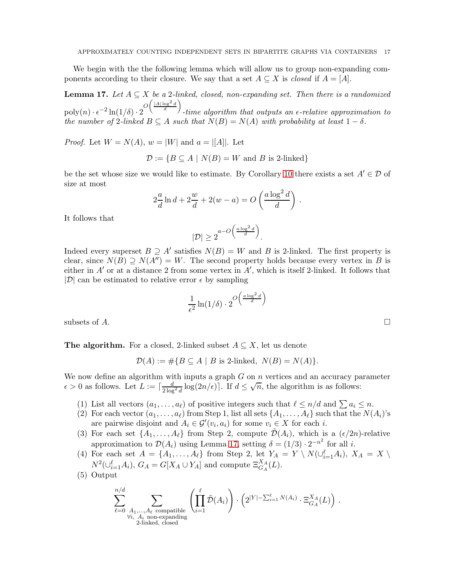We begin with the the following lemma which will allow us to group non-expanding components according to their closure. We say that a set  $A \subseteq X$  is closed if  $A = [A]$ .

<span id="page-17-0"></span>**Lemma 17.** Let  $A \subseteq X$  be a 2-linked, closed, non-expanding set. Then there is a randomized  $\operatorname{poly}(n) \cdot \epsilon^{-2} \ln(1/\delta) \cdot 2 \frac{O\left(\frac{|A| \log^2 d}{d}\right)}{1}$ -time algorithm that outputs an  $\epsilon$ -relative approximation to the number of 2-linked  $B \subseteq A$  such that  $N(B) = N(A)$  with probability at least  $1 - \delta$ .

*Proof.* Let  $W = N(A)$ ,  $w = |W|$  and  $a = |A|$ . Let

 $\mathcal{D} := \{ B \subseteq A \mid N(B) = W \text{ and } B \text{ is } 2\text{-linked} \}$ 

be the set whose size we would like to estimate. By Corollary [10](#page-9-4) there exists a set  $A' \in \mathcal{D}$  of size at most

$$
2\frac{a}{d}\ln d + 2\frac{w}{d} + 2(w - a) = O\left(\frac{a\log^2 d}{d}\right).
$$

It follows that

$$
|\mathcal{D}| \ge 2^{a - O\left(\frac{a \log^2 d}{d}\right)}.
$$

Indeed every superset  $B \supseteq A'$  satisfies  $N(B) = W$  and B is 2-linked. The first property is clear, since  $N(B) \supseteq N(A'') = W$ . The second property holds because every vertex in B is either in  $A'$  or at a distance 2 from some vertex in  $A'$ , which is itself 2-linked. It follows that  $|\mathcal{D}|$  can be estimated to relative error  $\epsilon$  by sampling

$$
\frac{1}{\epsilon^2} \ln(1/\delta) \cdot 2^{O\left(\frac{a \log^2 d}{d}\right)}
$$

subsets of  $A$ .

**The algorithm.** For a closed, 2-linked subset  $A \subseteq X$ , let us denote

 $\mathcal{D}(A) := \# \{ B \subseteq A \mid B \text{ is } 2\text{-linked}, N(B) = N(A) \}.$ 

We now define an algorithm with inputs a graph  $G$  on  $n$  vertices and an accuracy parameter  $\epsilon > 0$  as follows. Let  $L := \lceil \frac{d}{2 \log^2 d} \log(2n/\epsilon) \rceil$ . If  $d \leq \sqrt{n}$ , the algorithm is as follows:

- (1) List all vectors  $(a_1, \ldots, a_\ell)$  of positive integers such that  $\ell \leq n/d$  and  $\sum a_i \leq n$ .
- (2) For each vector  $(a_1, \ldots, a_\ell)$  from Step 1, list all sets  $\{A_1, \ldots, A_\ell\}$  such that the  $N(A_i)$ 's are pairwise disjoint and  $A_i \in \mathcal{G}'(v_i, a_i)$  for some  $v_i \in X$  for each i.
- (3) For each set  $\{A_1, \ldots, A_\ell\}$  from Step 2, compute  $\tilde{\mathcal{D}}(A_i)$ , which is a  $(\epsilon/2n)$ -relative approximation to  $\mathcal{D}(A_i)$  using Lemma [17,](#page-17-0) setting  $\delta = (1/3) \cdot 2^{-n^2}$  for all *i*.
- (4) For each set  $A = \{A_1, \ldots, A_\ell\}$  from Step 2, let  $Y_A = Y \setminus N(\cup_{i=1}^{\ell} A_i), X_A = X \setminus N$  $N^2(\cup_{i=1}^{\ell} A_i), G_A = G[X_A \cup Y_A]$  and compute  $\Xi_{G_A}^{X_A}(L)$ .
- (5) Output

$$
\sum_{\ell=0}^{n/d} \sum_{\substack{A_1,\ldots,A_\ell \text{ compatible} \\ \forall i,\ A_i \text{ non-expanding} \\ 2\text{-linked, closed}}} \left( \prod_{i=1}^{\ell} \tilde{\mathcal{D}}(A_i) \right) \cdot \left( 2^{|Y| - \sum_{i=1}^{\ell} N(A_i)} \cdot \Xi_{G_A}^{X_A}(L) \right) .
$$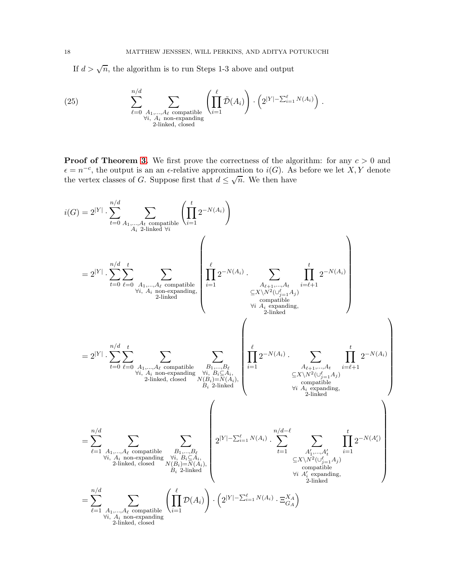If  $d > \sqrt{n}$ , the algorithm is to run Steps 1-3 above and output

<span id="page-18-0"></span>(25) 
$$
\sum_{\ell=0}^{n/d} \sum_{\substack{A_1,\ldots,A_\ell \text{ compatible} \ A_i \text{ non-expanding} \ 2\text{-linked, closed}}} \left(\prod_{i=1}^{\ell} \tilde{\mathcal{D}}(A_i)\right) \cdot \left(2^{|Y|-\sum_{i=1}^{\ell} N(A_i)}\right).
$$

**Proof of Theorem [3.](#page-3-1)** We first prove the correctness of the algorithm: for any  $c > 0$  and  $\epsilon = n^{-c}$ , the output is an an  $\epsilon$ -relative approximation to  $i(G)$ . As before we let X, Y denote the vertex classes of G. Suppose first that  $d \leq \sqrt{n}$ . We then have

$$
i(G) = 2^{|Y|} \cdot \sum_{t=0}^{n/d} \sum_{A_1,\ldots,A_t \text{ compatible}} \left( \prod_{i=1}^t 2^{-N(A_i)} \right)
$$
\n
$$
= 2^{|Y|} \cdot \sum_{t=0}^{n/d} \sum_{\ell=0}^t \sum_{A_1,\ldots,A_t \text{ compatible}} \prod_{\substack{2 \text{linked}}} \prod_{\substack{i=1 \\ 2 \text{ranked}} \sum_{\substack{X \mid \text{non-expanding,} \\ \text{comparable}}} \left( \prod_{i=1}^t 2^{-N(A_i)} \cdot \sum_{\substack{X \mid \text{an} \text{triangle}}} \prod_{\substack{i=1 \\ \text{sum, } X \mid N^2(\cup_{j=1}^{\ell} A_j)}} \frac{1}{2^{-N(A_i)}} \right)
$$
\n
$$
= 2^{|Y|} \cdot \sum_{t=0}^{n/d} \sum_{\substack{\ell=0 \text{odd } \text{odd } \text{odd } \text{odd}}} \sum_{\substack{A_1, \ldots, A_t \text{ compatible} \\ \text{with } A_t \text{ spanning to } \text{odd}}} \prod_{\substack{j=1 \\ 2 \text{linked}, \text{closed}}} \sum_{\substack{X \mid \text{and } X \mid \text{and } X \mid \text{odd}}} \left( \prod_{i=1}^t 2^{-N(A_i)} \cdot \sum_{\substack{X \mid \text{as polynomial} \\ \text{by } A_t \text{ expanding,} \\ \text{by } A_t \text{ expanding}}} \prod_{\substack{j=1 \\ 2 \text{linked}}} \frac{1}{2^{-N(A_i)}} \right)
$$
\n
$$
= \sum_{\substack{\ell=1 \text{odd } \text{odd } \text{odd } \text{odd } \text{odd}}} \sum_{\substack{X \mid \text{and } X \mid \text{and } X \mid \text{odd} \\ \text{by } X \mid \text{and } X \mid \text{odd}}} \left( \prod_{\substack{j=1 \\ 2 \text{linked}}} \frac{1}{2^{-N(A_i)}} \right)
$$
\n
$$
= \sum_{\substack{i=1 \text{odd } \text{odd } \text{odd } \text{odd } \text{odd } \text{odd } \text{odd}}} \sum_{\substack{X \mid \text{and } X \mid \text{odd} \\ \text{by } X \mid \text{and } X \mid \text{odd} \\ \text{by } X \mid \text{by
$$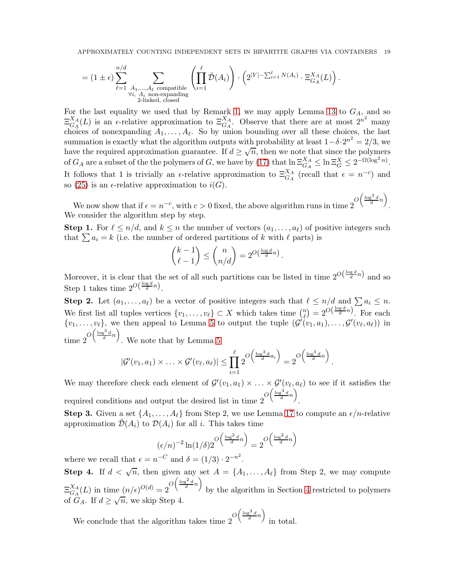$$
= (1 \pm \epsilon) \sum_{\ell=1}^{n/d} \sum_{\substack{A_1,\ldots,A_\ell \text{ compatible} \\ \forall i,\ A_i \text{ non-expanding} \\ 2\text{-linked, closed}}} \left( \prod_{i=1}^\ell \tilde{D}(A_i) \right) \cdot \left( 2^{|Y| - \sum_{i=1}^\ell N(A_i)} \cdot \Xi_{G_A}^{X_A}(L) \right).
$$

For the last equality we used that by Remark [1,](#page-14-2) we may apply Lemma [13](#page-13-0) to  $G_A$ , and so  $\Xi_{G_A}^{X_A}$  ${}_{G_A}^{X_A}(L)$  is an  $\epsilon$ -relative approximation to  $\Xi_{G_A}^{X_A}$ . Observe that there are at most  $2^{n^2}$  many choices of nonexpanding  $A_1, \ldots, A_\ell$ . So by union bounding over all these choices, the last summation is exactly what the algorithm outputs with probability at least  $1-\delta \cdot 2^{n^2} = 2/3$ , we have the required approximation guarantee. If  $d \ge \sqrt{n}$ , then we note that since the polymers of  $G_A$  are a subset of the the polymers of G, we have by [\(17\)](#page-14-3) that  $\ln \Xi_{G_A}^{X_A} \leq \ln \Xi_G^X \leq 2^{-\Omega(\log^2 n)}$ . It follows that 1 is trivially an  $\epsilon$ -relative approximation to  $\Xi_{G_A}^{X_A}$  (recall that  $\epsilon = n^{-c}$ ) and so [\(25\)](#page-18-0) is an  $\epsilon$ -relative approximation to  $i(G)$ .

We now show that if  $\epsilon = n^{-c}$ , with  $c > 0$  fixed, the above algorithm runs in time  $2^{O\left(\frac{\log^3 d}{d}n\right)}$ . We consider the algorithm step by step.

**Step 1.** For  $\ell \leq n/d$ , and  $k \leq n$  the number of vectors  $(a_1, \ldots, a_\ell)$  of positive integers such that  $\sum a_i = k$  (i.e. the number of ordered partitions of k with  $\ell$  parts) is

$$
\binom{k-1}{\ell-1} \leq \binom{n}{n/d} = 2^{O\left(\frac{\log d}{d}n\right)}.
$$

Moreover, it is clear that the set of all such partitions can be listed in time  $2^{O(\frac{\log d}{d}n)}$  and so Step 1 takes time  $2^{O(\frac{\log d}{d}n)}$ .

**Step 2.** Let  $(a_1, \ldots, a_\ell)$  be a vector of positive integers such that  $\ell \leq n/d$  and  $\sum a_i \leq n$ . We first list all tuples vertices  $\{v_1, \ldots, v_\ell\} \subset X$  which takes time  $\binom{n}{\ell}$  $\binom{n}{\ell} = 2^{O\left(\frac{\log d}{d}n\right)}$ . For each  $\{v_1,\ldots,v_\ell\}$ , we then appeal to Lemma [5](#page-7-4) to output the tuple  $(\mathcal{G}'(v_1,a_1),\ldots,\mathcal{G}'(v_\ell,a_\ell))$  in time  $2^{O\left(\frac{\log^3 d}{d}n\right)}$ . We note that by Lemma [5](#page-7-4)

$$
|\mathcal{G}'(v_1, a_1) \times \ldots \times \mathcal{G}'(v_{\ell}, a_{\ell})| \leq \prod_{i=1}^{\ell} 2^{O\left(\frac{\log^3 d}{d}a_i\right)} = 2^{O\left(\frac{\log^3 d}{d}n\right)}.
$$

We may therefore check each element of  $\mathcal{G}'(v_1, a_1) \times \ldots \times \mathcal{G}'(v_\ell, a_\ell)$  to see if it satisfies the required conditions and output the desired list in time  $2^{O\left(\frac{\log^3 d}{d}n\right)}$ .

**Step 3.** Given a set  $\{A_1, \ldots, A_\ell\}$  from Step 2, we use Lemma [17](#page-17-0) to compute an  $\epsilon/n$ -relative approximation  $\mathcal{D}(A_i)$  to  $\mathcal{D}(A_i)$  for all i. This takes time

$$
(\epsilon/n)^{-2} \ln(1/\delta) 2^{O\left(\frac{\log^2 d}{d}n\right)} = 2^{O\left(\frac{\log^2 d}{d}n\right)}
$$

where we recall that  $\epsilon = n^{-C}$  and  $\delta = (1/3) \cdot 2^{-n^2}$ .

Step 4. If  $d < \sqrt{n}$ , then given any set  $A = \{A_1, \ldots, A_\ell\}$  from Step 2, we may compute  $\Xi^{X_A}_{G_A}$  $\frac{X_A}{G_A}(L)$  in time  $(n/\epsilon)^{O(d)} = 2^{O\left(\frac{\log^2 d}{d}n\right)}$ by the algorithm in Section [4](#page-14-1) restricted to polymers of  $G_A$ . If  $d \ge \sqrt{n}$ , we skip Step 4.

We conclude that the algorithm takes time  $2^{O\left(\frac{\log^3 d}{d}n\right)}$ in total.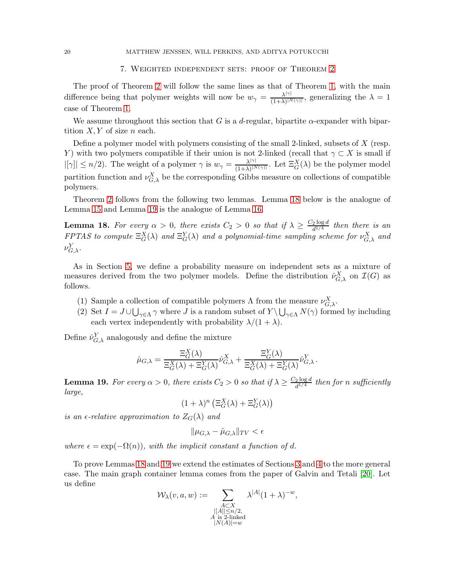# 7. Weighted independent sets: proof of Theorem [2](#page-3-0)

<span id="page-20-0"></span>The proof of Theorem [2](#page-3-0) will follow the same lines as that of Theorem [1,](#page-2-0) with the main difference being that polymer weights will now be  $w_{\gamma} = \frac{\lambda^{|\gamma|}}{(1+\lambda)^{|\gamma|}}$  $\frac{\lambda^{1/7}}{(1+\lambda)^{N(\gamma)}}$ , generalizing the  $\lambda = 1$ case of Theorem [1.](#page-2-0)

We assume throughout this section that G is a d-regular, bipartite  $\alpha$ -expander with bipartition  $X, Y$  of size n each.

Define a polymer model with polymers consisting of the small 2-linked, subsets of X (resp. Y) with two polymers compatible if their union is not 2-linked (recall that  $\gamma \subset X$  is small if  $|[\gamma]| \leq n/2$ ). The weight of a polymer  $\gamma$  is  $w_{\gamma} = \frac{\lambda^{|\gamma|}}{(1+\lambda)^{|\lambda|}}$  $\frac{\lambda^{|\gamma|}}{(1+\lambda)^{|N(\gamma)|}}$ . Let  $\Xi_G^X(\lambda)$  be the polymer model partition function and  $\nu_{G,\lambda}^X$  be the corresponding Gibbs measure on collections of compatible polymers.

Theorem [2](#page-3-0) follows from the following two lemmas. Lemma [18](#page-20-1) below is the analogue of Lemma [15](#page-14-0) and Lemma [19](#page-20-2) is the analogue of Lemma [16.](#page-15-0)

<span id="page-20-1"></span>**Lemma 18.** For every  $\alpha > 0$ , there exists  $C_2 > 0$  so that if  $\lambda \geq \frac{C_2 \log d}{d^{1/4}}$  $\frac{a^{2} \log a}{d^{1/4}}$  then there is an FPTAS to compute  $\Xi_G^X(\lambda)$  and  $\Xi_G^Y(\lambda)$  and a polynomial-time sampling scheme for  $\nu_{G,\lambda}^X$  and  $\nu^Y_{G,\lambda}.$ 

As in Section [5,](#page-15-1) we define a probability measure on independent sets as a mixture of measures derived from the two polymer models. Define the distribution  $\hat{\nu}_{G,\lambda}^X$  on  $\mathcal{I}(G)$  as follows.

- (1) Sample a collection of compatible polymers  $\Lambda$  from the measure  $\nu_{G,\lambda}^X$ .
- (2) Set  $I = J \cup \bigcup_{\gamma \in \Lambda} \gamma$  where J is a random subset of  $Y \setminus \bigcup_{\gamma \in \Lambda} N(\gamma)$  formed by including each vertex independently with probability  $\lambda/(1 + \lambda)$ .

Define  $\hat{\nu}_{G,\lambda}^{Y}$  analogously and define the mixture

$$
\hat{\mu}_{G,\lambda} = \frac{\Xi_G^X(\lambda)}{\Xi_G^X(\lambda) + \Xi_G^Y(\lambda)} \hat{\nu}_{G,\lambda}^X + \frac{\Xi_G^Y(\lambda)}{\Xi_G^X(\lambda) + \Xi_G^Y(\lambda)} \hat{\nu}_{G,\lambda}^Y.
$$

<span id="page-20-2"></span>**Lemma 19.** For every  $\alpha > 0$ , there exists  $C_2 > 0$  so that if  $\lambda \geq \frac{C_2 \log d}{d^{1/4}}$  $\frac{2 \log d}{d^{1/4}}$  then for n sufficiently large,

$$
(1 + \lambda)^n \left( \Xi_G^X(\lambda) + \Xi_G^Y(\lambda) \right)
$$

is an  $\epsilon$ -relative approximation to  $Z_G(\lambda)$  and

$$
\|\mu_{G,\lambda} - \hat{\mu}_{G,\lambda}\|_{TV} < \epsilon
$$

where  $\epsilon = \exp(-\Omega(n))$ , with the implicit constant a function of d.

To prove Lemmas [18](#page-20-1) and [19](#page-20-2) we extend the estimates of Sections [3](#page-7-0) and [4](#page-10-0) to the more general case. The main graph container lemma comes from the paper of Galvin and Tetali [\[20\]](#page-24-12). Let us define

$$
\mathcal{W}_{\lambda}(v, a, w) := \sum_{\substack{A \subset X \\ ||A|| \leq n/2, \\ A \text{ is 2-linked} \\ |N(A)| = w}} \lambda^{|A|} (1 + \lambda)^{-w},
$$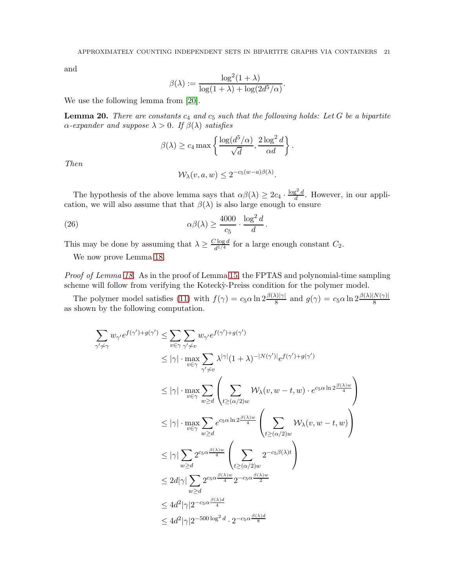.

and

$$
\beta(\lambda) := \frac{\log^2(1+\lambda)}{\log(1+\lambda) + \log(2d^5/\alpha)}
$$

We use the following lemma from [\[20\]](#page-24-12).

**Lemma 20.** There are constants  $c_4$  and  $c_5$  such that the following holds: Let G be a bipartite  $\alpha$ -expander and suppose  $\lambda > 0$ . If  $\beta(\lambda)$  satisfies

$$
\beta(\lambda) \ge c_4 \max \left\{ \frac{\log(d^5/\alpha)}{\sqrt{d}}, \frac{2 \log^2 d}{\alpha d} \right\}.
$$

Then

<span id="page-21-0"></span>
$$
\mathcal{W}_{\lambda}(v, a, w) \le 2^{-c_5(w-a)\beta(\lambda)}.
$$

The hypothesis of the above lemma says that  $\alpha\beta(\lambda) \geq 2c_4 \cdot \frac{\log^2 d}{d}$  $\frac{d}{d}$ . However, in our application, we will also assume that that  $\beta(\lambda)$  is also large enough to ensure

(26) 
$$
\alpha\beta(\lambda) \ge \frac{4000}{c_5} \cdot \frac{\log^2 d}{d}.
$$

This may be done by assuming that  $\lambda \geq \frac{C \log d}{d^{1/4}}$  $\frac{\log a}{d^{1/4}}$  for a large enough constant  $C_2$ .

We now prove Lemma [18.](#page-20-1)

Proof of Lemma [18.](#page-20-1) As in the proof of Lemma [15,](#page-14-0) the FPTAS and polynomial-time sampling scheme will follow from verifying the Kotecky-Preiss condition for the polymer model.

The polymer model satisfies [\(11\)](#page-11-1) with  $f(\gamma) = c_5 \alpha \ln 2 \frac{\beta(\lambda)|\gamma|}{8}$  and  $g(\gamma) = c_5 \alpha \ln 2 \frac{\beta(\lambda)|N(\gamma)|}{8}$ as shown by the following computation.

$$
\sum_{\gamma'\neq\gamma} w_{\gamma'} e^{f(\gamma') + g(\gamma')} \leq \sum_{v \in \gamma} \sum_{\gamma' \neq v} w_{\gamma'} e^{f(\gamma') + g(\gamma')}
$$
\n
$$
\leq |\gamma| \cdot \max_{v \in \gamma} \sum_{\gamma' \neq v} \lambda^{|\gamma|} (1 + \lambda)^{-|N(\gamma')|} e^{f(\gamma') + g(\gamma')}
$$
\n
$$
\leq |\gamma| \cdot \max_{v \in \gamma} \sum_{w \geq d} \left( \sum_{t \geq (\alpha/2)w} \mathcal{W}_{\lambda}(v, w - t, w) \cdot e^{c_5 \alpha \ln 2 \frac{\beta(\lambda)w}{4}} \right)
$$
\n
$$
\leq |\gamma| \cdot \max_{v \in \gamma} \sum_{w \geq d} e^{c_5 \alpha \ln 2 \frac{\beta(\lambda)w}{4}} \left( \sum_{t \geq (\alpha/2)w} \mathcal{W}_{\lambda}(v, w - t, w) \right)
$$
\n
$$
\leq |\gamma| \sum_{w \geq d} 2^{c_5 \alpha \frac{\beta(\lambda)w}{4}} \left( \sum_{t \geq (\alpha/2)w} 2^{-c_5 \beta(\lambda)t} \right)
$$
\n
$$
\leq 2d|\gamma| \sum_{w \geq d} 2^{c_5 \alpha \frac{\beta(\lambda)w}{4}} 2^{-c_5 \alpha \frac{\beta(\lambda)w}{2}}
$$
\n
$$
\leq 4d^2|\gamma|2^{-c_5 \alpha \frac{\beta(\lambda)d}{4}}
$$
\n
$$
\leq 4d^2|\gamma|2^{-500 \log^2 d} \cdot 2^{-c_5 \alpha \frac{\beta(\lambda)d}{8}}
$$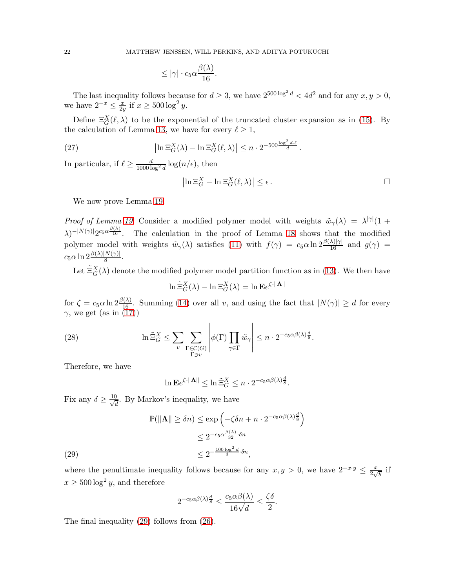$$
\leq |\gamma| \cdot c_5 \alpha \frac{\beta(\lambda)}{16}.
$$

The last inequality follows because for  $d \geq 3$ , we have  $2^{500 \log^2 d} < 4d^2$  and for any  $x, y > 0$ , we have  $2^{-x} \leq \frac{x}{2y}$  $\frac{x}{2y}$  if  $x \ge 500 \log^2 y$ .

Define  $\Xi_G^X(\ell,\lambda)$  to be the exponential of the truncated cluster expansion as in [\(15\)](#page-13-1). By the calculation of Lemma [13,](#page-13-0) we have for every  $\ell \geq 1$ ,

(27) 
$$
\left|\ln \Xi_G^X(\lambda) - \ln \Xi_G^X(\ell,\lambda)\right| \leq n \cdot 2^{-500 \frac{\log^2 d \cdot \ell}{d}}.
$$

In particular, if  $\ell \geq \frac{d}{1000 \log^2 d} \log(n/\epsilon)$ , then

$$
\left|\ln \Xi_G^X - \ln \Xi_G^X(\ell,\lambda)\right| \le \epsilon.
$$

We now prove Lemma [19.](#page-20-2)

*Proof of Lemma [19.](#page-20-2)* Consider a modified polymer model with weights  $\tilde{w}_{\gamma}(\lambda) = \lambda^{|\gamma|}(1 +$  $(\lambda)^{-|N(\gamma)|}2^{c_5\alpha\frac{\beta(\lambda)}{16}}$ . The calculation in the proof of Lemma [18](#page-20-1) shows that the modified polymer model with weights  $\tilde{w}_{\gamma}(\lambda)$  satisfies [\(11\)](#page-11-1) with  $f(\gamma) = c_5 \alpha \ln 2 \frac{\beta(\lambda)|\gamma|}{16}$  and  $g(\gamma) =$  $c_5\alpha \ln 2\frac{\beta(\lambda)|N(\gamma)|}{8}.$ 

Let  $\tilde{\Xi}_G^X(\lambda)$  denote the modified polymer model partition function as in [\(13\)](#page-12-2). We then have

$$
\ln \tilde{\Xi}_G^X(\lambda) - \ln \Xi_G^X(\lambda) = \ln \mathbf{E} e^{\zeta \cdot \|\mathbf{\Lambda}\|}
$$

for  $\zeta = c_5 \alpha \ln 2 \frac{\beta(\lambda)}{16}$ . Summing [\(14\)](#page-12-1) over all v, and using the fact that  $|N(\gamma)| \ge d$  for every  $\gamma$ , we get (as in [\(17\)](#page-14-3))

(28) 
$$
\ln \tilde{\Xi}_G^X \leq \sum_{v} \sum_{\substack{\Gamma \in \mathcal{C}(G) \\ \Gamma \ni v}} \left| \phi(\Gamma) \prod_{\gamma \in \Gamma} \tilde{w}_\gamma \right| \leq n \cdot 2^{-c_5 \alpha \beta(\lambda) \frac{d}{8}}.
$$

Therefore, we have

$$
\ln \mathbf{E} e^{\zeta \cdot \|\mathbf{\Lambda}\|} \leq \ln \tilde{\Xi}_G^X \leq n \cdot 2^{-c_5 \alpha \beta(\lambda) \frac{d}{8}}.
$$

Fix any  $\delta \geq \frac{10}{\sqrt{6}}$  $\frac{d}{d}$ . By Markov's inequality, we have

$$
\mathbb{P}(\|\mathbf{\Lambda}\| \ge \delta n) \le \exp\left(-\zeta \delta n + n \cdot 2^{-c_5 \alpha \beta(\lambda)\frac{d}{8}}\right)
$$
  

$$
\le 2^{-c_5 \alpha \frac{\beta(\lambda)}{32} \cdot \delta n}
$$
  

$$
\le 2^{-\frac{100 \log^2 d}{d} \cdot \delta n},
$$

<span id="page-22-0"></span>where the penultimate inequality follows because for any  $x, y > 0$ , we have  $2^{-x \cdot y} \leq \frac{x}{2\sqrt{y}}$  $rac{x}{2\sqrt{y}}$  if  $x \ge 500 \log^2 y$ , and therefore

$$
2^{-c_5\alpha\beta(\lambda)\frac{d}{8}} \le \frac{c_5\alpha\beta(\lambda)}{16\sqrt{d}} \le \frac{\zeta\delta}{2}.
$$

The final inequality [\(29\)](#page-22-0) follows from [\(26\)](#page-21-0).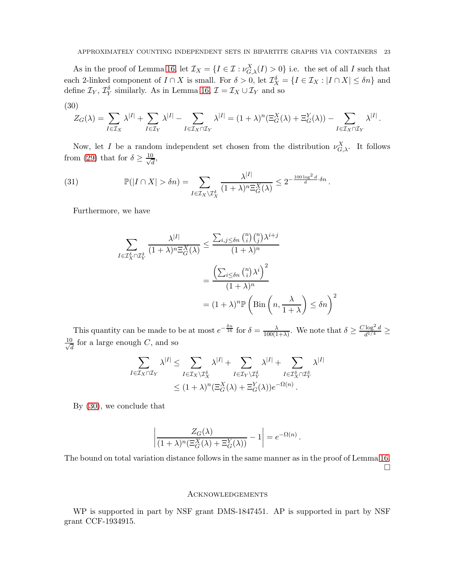As in the proof of Lemma [16,](#page-15-0) let  $\mathcal{I}_X = \{I \in \mathcal{I} : \nu_{G,\lambda}^X(I) > 0\}$  i.e. the set of all I such that each 2-linked component of  $I \cap X$  is small. For  $\delta > 0$ , let  $\mathcal{I}_X^{\delta} = \{I \in \mathcal{I}_X : |I \cap X| \leq \delta n\}$  and define  $\mathcal{I}_Y$ ,  $\mathcal{I}_Y^{\delta}$  similarly. As in Lemma [16,](#page-15-0)  $\mathcal{I} = \mathcal{I}_X \cup \mathcal{I}_Y$  and so

<span id="page-23-0"></span>
$$
(30)
$$

$$
Z_G(\lambda) = \sum_{I \in \mathcal{I}_X} \lambda^{|I|} + \sum_{I \in \mathcal{I}_Y} \lambda^{|I|} - \sum_{I \in \mathcal{I}_X \cap \mathcal{I}_Y} \lambda^{|I|} = (1 + \lambda)^n (\Xi_G^X(\lambda) + \Xi_G^Y(\lambda)) - \sum_{I \in \mathcal{I}_X \cap \mathcal{I}_Y} \lambda^{|I|}.
$$

Now, let I be a random independent set chosen from the distribution  $\nu_{G,\lambda}^X$ . It follows from [\(29\)](#page-22-0) that for  $\delta \geq \frac{10}{\sqrt{6}}$  $\frac{1}{d}$ 

(31) 
$$
\mathbb{P}(|I \cap X| > \delta n) = \sum_{I \in \mathcal{I}_X \backslash \mathcal{I}_X^{\delta}} \frac{\lambda^{|I|}}{(1 + \lambda)^n \Xi_G^X(\lambda)} \leq 2^{-\frac{100 \log^2 d}{d} \cdot \delta n}.
$$

Furthermore, we have

$$
\sum_{I \in \mathcal{I}_{X}^{\delta} \cap \mathcal{I}_{Y}^{\delta}} \frac{\lambda^{|I|}}{(1+\lambda)^{n} \Xi_{G}^{X}(\lambda)} \le \frac{\sum_{i,j \le \delta n} {n \choose i} {n \choose j} \lambda^{i+j}}{(1+\lambda)^{n}}
$$

$$
= \frac{\left(\sum_{i \le \delta n} {n \choose i} \lambda^{i}\right)^{2}}{(1+\lambda)^{n}}
$$

$$
= (1+\lambda)^{n} \mathbb{P}\left(\text{Bin}\left(n, \frac{\lambda}{1+\lambda}\right) \le \delta n\right)^{2}
$$

This quantity can be made to be at most  $e^{-\frac{\delta n}{16}}$  for  $\delta = \frac{\lambda}{100(16)}$  $\frac{\lambda}{100(1+\lambda)}$ . We note that  $\delta \geq \frac{C \log^2 d}{d^{1/4}}$  $\frac{1}{d^{1/4}} \geq$  $\frac{10}{\sqrt{2}}$  $\frac{J}{d}$  for a large enough C, and so

$$
\sum_{I \in \mathcal{I}_X \cap \mathcal{I}_Y} \lambda^{|I|} \leq \sum_{I \in \mathcal{I}_X \setminus \mathcal{I}_X^{\delta}} \lambda^{|I|} + \sum_{I \in \mathcal{I}_Y \setminus \mathcal{I}_Y^{\delta}} \lambda^{|I|} + \sum_{I \in \mathcal{I}_X^{\delta} \cap \mathcal{I}_Y^{\delta}} \lambda^{|I|}
$$
  
 
$$
\leq (1 + \lambda)^n (\Xi_G^X(\lambda) + \Xi_G^Y(\lambda)) e^{-\Omega(n)}.
$$

By [\(30\)](#page-23-0), we conclude that

$$
\left| \frac{Z_G(\lambda)}{(1+\lambda)^n (\Xi_G^X(\lambda) + \Xi_G^Y(\lambda))} - 1 \right| = e^{-\Omega(n)}.
$$

The bound on total variation distance follows in the same manner as in the proof of Lemma [16.](#page-15-0)  $\Box$ 

### **ACKNOWLEDGEMENTS**

WP is supported in part by NSF grant DMS-1847451. AP is supported in part by NSF grant CCF-1934915.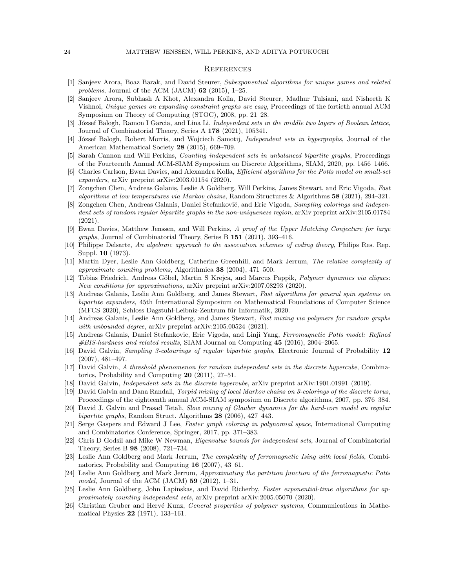#### **REFERENCES**

- <span id="page-24-21"></span>[1] Sanjeev Arora, Boaz Barak, and David Steurer, Subexponential algorithms for unique games and related problems, Journal of the ACM (JACM)  $62$  (2015), 1–25.
- <span id="page-24-20"></span>[2] Sanjeev Arora, Subhash A Khot, Alexandra Kolla, David Steurer, Madhur Tulsiani, and Nisheeth K Vishnoi, Unique games on expanding constraint graphs are easy, Proceedings of the fortieth annual ACM Symposium on Theory of Computing (STOC), 2008, pp. 21–28.
- <span id="page-24-17"></span><span id="page-24-13"></span>[3] József Balogh, Ramon I Garcia, and Lina Li, *Independent sets in the middle two layers of Boolean lattice*, Journal of Combinatorial Theory, Series A 178 (2021), 105341.
- [4] József Balogh, Robert Morris, and Wojciech Samotij, *Independent sets in hypergraphs*, Journal of the American Mathematical Society 28 (2015), 669-709.
- <span id="page-24-22"></span><span id="page-24-4"></span>[5] Sarah Cannon and Will Perkins, Counting independent sets in unbalanced bipartite graphs, Proceedings of the Fourteenth Annual ACM-SIAM Symposium on Discrete Algorithms, SIAM, 2020, pp. 1456–1466.
- [6] Charles Carlson, Ewan Davies, and Alexandra Kolla, Efficient algorithms for the Potts model on small-set expanders, arXiv preprint arXiv:2003.01154 (2020).
- <span id="page-24-5"></span>[7] Zongchen Chen, Andreas Galanis, Leslie A Goldberg, Will Perkins, James Stewart, and Eric Vigoda, Fast algorithms at low temperatures via Markov chains, Random Structures & Algorithms 58 (2021), 294–321.
- <span id="page-24-9"></span>[8] Zongchen Chen, Andreas Galanis, Daniel Štefankovič, and Eric Vigoda, Sampling colorings and independent sets of random regular bipartite graphs in the non-uniqueness region, arXiv preprint arXiv:2105.01784 (2021).
- <span id="page-24-16"></span>[9] Ewan Davies, Matthew Jenssen, and Will Perkins, A proof of the Upper Matching Conjecture for large graphs, Journal of Combinatorial Theory, Series B 151 (2021), 393–416.
- <span id="page-24-23"></span>[10] Philippe Delsarte, An algebraic approach to the association schemes of coding theory, Philips Res. Rep. Suppl. **10** (1973).
- <span id="page-24-0"></span>[11] Martin Dyer, Leslie Ann Goldberg, Catherine Greenhill, and Mark Jerrum, The relative complexity of approximate counting problems, Algorithmica 38 (2004), 471–500.
- <span id="page-24-7"></span>[12] Tobias Friedrich, Andreas Göbel, Martin S Krejca, and Marcus Pappik, Polymer dynamics via cliques: New conditions for approximations, arXiv preprint arXiv:2007.08293 (2020).
- <span id="page-24-6"></span>[13] Andreas Galanis, Leslie Ann Goldberg, and James Stewart, Fast algorithms for general spin systems on bipartite expanders, 45th International Symposium on Mathematical Foundations of Computer Science (MFCS 2020), Schloss Dagstuhl-Leibniz-Zentrum für Informatik, 2020.
- <span id="page-24-8"></span>[14] Andreas Galanis, Leslie Ann Goldberg, and James Stewart, Fast mixing via polymers for random graphs with unbounded degree, arXiv preprint arXiv:2105.00524 (2021).
- <span id="page-24-2"></span>[15] Andreas Galanis, Daniel Stefankovic, Eric Vigoda, and Linji Yang, Ferromagnetic Potts model: Refined  $\#BIS$ -hardness and related results, SIAM Journal on Computing 45 (2016), 2004–2065.
- <span id="page-24-18"></span>[16] David Galvin, Sampling 3-colourings of regular bipartite graphs, Electronic Journal of Probability 12 (2007), 481–497.
- <span id="page-24-15"></span>[17] David Galvin, A threshold phenomenon for random independent sets in the discrete hypercube, Combinatorics, Probability and Computing 20 (2011), 27–51.
- <span id="page-24-19"></span><span id="page-24-14"></span>[18] David Galvin, Independent sets in the discrete hypercube, arXiv preprint arXiv:1901.01991 (2019).
- [19] David Galvin and Dana Randall, Torpid mixing of local Markov chains on 3-colorings of the discrete torus, Proceedings of the eighteenth annual ACM-SIAM symposium on Discrete algorithms, 2007, pp. 376–384.
- <span id="page-24-12"></span>[20] David J. Galvin and Prasad Tetali, Slow mixing of Glauber dynamics for the hard-core model on regular bipartite graphs, Random Struct. Algorithms 28 (2006), 427–443.
- <span id="page-24-11"></span>[21] Serge Gaspers and Edward J Lee, Faster graph coloring in polynomial space, International Computing and Combinatorics Conference, Springer, 2017, pp. 371–383.
- <span id="page-24-24"></span>[22] Chris D Godsil and Mike W Newman, Eigenvalue bounds for independent sets, Journal of Combinatorial Theory, Series B 98 (2008), 721–734.
- <span id="page-24-3"></span>[23] Leslie Ann Goldberg and Mark Jerrum, The complexity of ferromagnetic Ising with local fields, Combinatorics, Probability and Computing 16 (2007), 43–61.
- <span id="page-24-1"></span>[24] Leslie Ann Goldberg and Mark Jerrum, Approximating the partition function of the ferromagnetic Potts model, Journal of the ACM (JACM)  $59$  (2012), 1-31.
- <span id="page-24-10"></span>[25] Leslie Ann Goldberg, John Lapinskas, and David Richerby, Faster exponential-time algorithms for approximately counting independent sets, arXiv preprint arXiv:2005.05070 (2020).
- <span id="page-24-25"></span>[26] Christian Gruber and Hervé Kunz, General properties of polymer systems, Communications in Mathematical Physics 22 (1971), 133–161.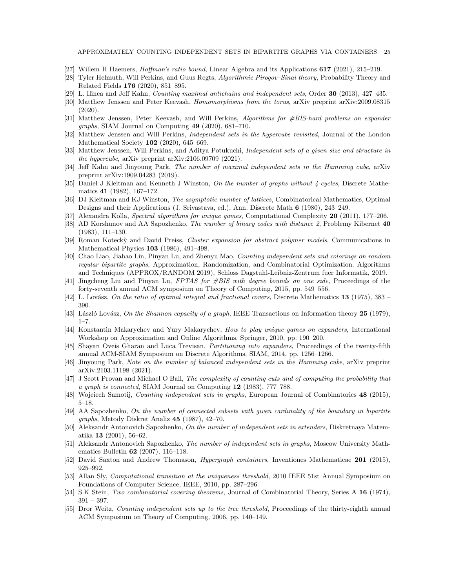APPROXIMATELY COUNTING INDEPENDENT SETS IN BIPARTITE GRAPHS VIA CONTAINERS 25

- <span id="page-25-24"></span><span id="page-25-4"></span>[27] Willem H Haemers, Hoffman's ratio bound, Linear Algebra and its Applications 617 (2021), 215–219.
- [28] Tyler Helmuth, Will Perkins, and Guus Regts, Algorithmic Pirogov–Sinai theory, Probability Theory and Related Fields 176 (2020), 851–895.
- <span id="page-25-21"></span><span id="page-25-15"></span>[29] L. Ilinca and Jeff Kahn, Counting maximal antichains and independent sets, Order 30 (2013), 427–435.
- [30] Matthew Jenssen and Peter Keevash, *Homomorphisms from the torus*, arXiv preprint arXiv:2009.08315 (2020).
- <span id="page-25-3"></span>[31] Matthew Jenssen, Peter Keevash, and Will Perkins, Algorithms for #BIS-hard problems on expander graphs, SIAM Journal on Computing 49 (2020), 681–710.
- <span id="page-25-14"></span>[32] Matthew Jenssen and Will Perkins, Independent sets in the hypercube revisited, Journal of the London Mathematical Society 102 (2020), 645–669.
- <span id="page-25-16"></span>[33] Matthew Jenssen, Will Perkins, and Aditya Potukuchi, Independent sets of a given size and structure in the hypercube, arXiv preprint arXiv:2106.09709 (2021).
- <span id="page-25-22"></span>[34] Jeff Kahn and Jinyoung Park, The number of maximal independent sets in the Hamming cube, arXiv preprint arXiv:1909.04283 (2019).
- <span id="page-25-7"></span>[35] Daniel J Kleitman and Kenneth J Winston, On the number of graphs without 4-cycles, Discrete Mathematics 41 (1982), 167–172.
- <span id="page-25-8"></span>[36] DJ Kleitman and KJ Winston, The asymptotic number of lattices, Combinatorical Mathematics, Optimal Designs and their Applications (J. Srivastava, ed.), Ann. Discrete Math 6 (1980), 243–249.
- <span id="page-25-17"></span><span id="page-25-13"></span>[37] Alexandra Kolla, Spectral algorithms for unique games, Computational Complexity 20 (2011), 177–206.
- [38] AD Korshunov and AA Sapozhenko, The number of binary codes with distance 2, Problemy Kibernet 40 (1983), 111–130.
- <span id="page-25-28"></span>[39] Roman Kotecky and David Preiss, Cluster expansion for abstract polymer models, Communications in Mathematical Physics 103 (1986), 491–498.
- <span id="page-25-5"></span>[40] Chao Liao, Jiabao Lin, Pinyan Lu, and Zhenyu Mao, Counting independent sets and colorings on random regular bipartite graphs, Approximation, Randomization, and Combinatorial Optimization. Algorithms and Techniques (APPROX/RANDOM 2019), Schloss Dagstuhl-Leibniz-Zentrum fuer Informatik, 2019.
- <span id="page-25-2"></span>[41] Jingcheng Liu and Pinyan Lu, FPTAS for #BIS with degree bounds on one side, Proceedings of the forty-seventh annual ACM symposium on Theory of Computing, 2015, pp. 549–556.
- <span id="page-25-26"></span><span id="page-25-23"></span>[42] L. Lovász, On the ratio of optimal integral and fractional covers, Discrete Mathematics 13 (1975), 383 – 390.
- <span id="page-25-18"></span>[43] László Lovász, On the Shannon capacity of a graph, IEEE Transactions on Information theory 25 (1979),  $1 - 7$
- [44] Konstantin Makarychev and Yury Makarychev, How to play unique games on expanders, International Workshop on Approximation and Online Algorithms, Springer, 2010, pp. 190–200.
- <span id="page-25-19"></span>[45] Shayan Oveis Gharan and Luca Trevisan, Partitioning into expanders, Proceedings of the twenty-fifth annual ACM-SIAM Symposium on Discrete Algorithms, SIAM, 2014, pp. 1256–1266.
- <span id="page-25-25"></span>[46] Jinyoung Park, Note on the number of balanced independent sets in the Hamming cube, arXiv preprint arXiv:2103.11198 (2021).
- <span id="page-25-0"></span>[47] J Scott Provan and Michael O Ball, The complexity of counting cuts and of computing the probability that a graph is connected, SIAM Journal on Computing 12 (1983), 777–788.
- <span id="page-25-11"></span><span id="page-25-9"></span>[48] Wojciech Samotij, Counting independent sets in graphs, European Journal of Combinatorics 48 (2015), 5–18.
- [49] AA Sapozhenko, On the number of connected subsets with given cardinality of the boundary in bipartite graphs, Metody Diskret Analiz 45 (1987), 42–70.
- <span id="page-25-10"></span>[50] Aleksandr Antonovich Sapozhenko, On the number of independent sets in extenders, Diskretnaya Matematika 13 (2001), 56–62.
- <span id="page-25-20"></span>[51] Aleksandr Antonovich Sapozhenko, The number of independent sets in graphs, Moscow University Mathematics Bulletin 62 (2007), 116–118.
- <span id="page-25-12"></span><span id="page-25-1"></span>[52] David Saxton and Andrew Thomason, Hypergraph containers, Inventiones Mathematicae 201 (2015), 925–992.
- [53] Allan Sly, Computational transition at the uniqueness threshold, 2010 IEEE 51st Annual Symposium on Foundations of Computer Science, IEEE, 2010, pp. 287–296.
- <span id="page-25-27"></span><span id="page-25-6"></span>[54] S.K Stein, Two combinatorial covering theorems, Journal of Combinatorial Theory, Series A 16 (1974), 391 – 397.
- [55] Dror Weitz, *Counting independent sets up to the tree threshold*, Proceedings of the thirty-eighth annual ACM Symposium on Theory of Computing, 2006, pp. 140–149.